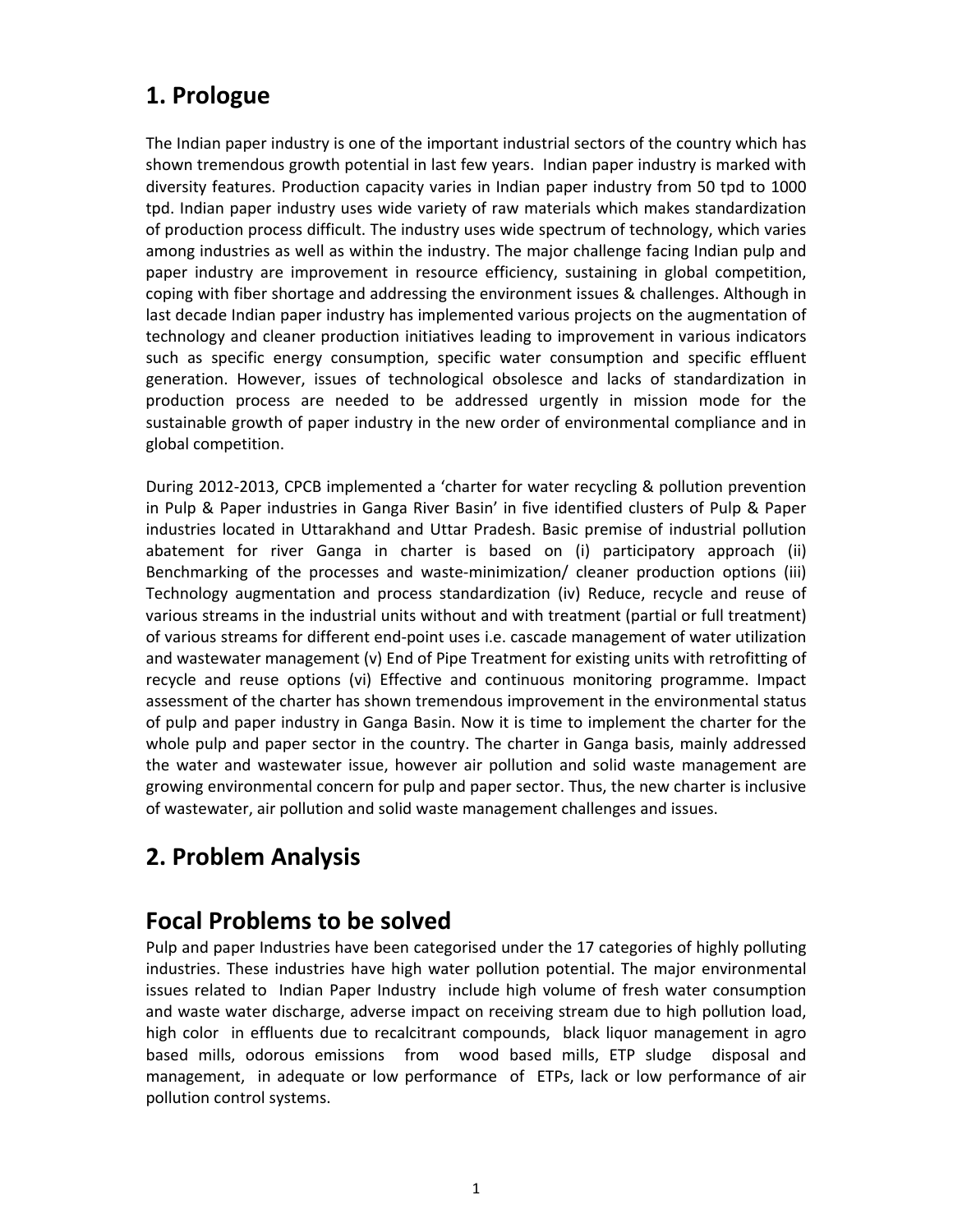### **1. Prologue**

The Indian paper industry is one of the important industrial sectors of the country which has shown tremendous growth potential in last few years. Indian paper industry is marked with diversity features. Production capacity varies in Indian paper industry from 50 tpd to 1000 tpd. Indian paper industry uses wide variety of raw materials which makes standardization of production process difficult. The industry uses wide spectrum of technology, which varies among industries as well as within the industry. The major challenge facing Indian pulp and paper industry are improvement in resource efficiency, sustaining in global competition, coping with fiber shortage and addressing the environment issues & challenges. Although in last decade Indian paper industry has implemented various projects on the augmentation of technology and cleaner production initiatives leading to improvement in various indicators such as specific energy consumption, specific water consumption and specific effluent generation. However, issues of technological obsolesce and lacks of standardization in production process are needed to be addressed urgently in mission mode for the sustainable growth of paper industry in the new order of environmental compliance and in global competition.

During 2012‐2013, CPCB implemented a 'charter for water recycling & pollution prevention in Pulp & Paper industries in Ganga River Basin' in five identified clusters of Pulp & Paper industries located in Uttarakhand and Uttar Pradesh. Basic premise of industrial pollution abatement for river Ganga in charter is based on (i) participatory approach (ii) Benchmarking of the processes and waste‐minimization/ cleaner production options (iii) Technology augmentation and process standardization (iv) Reduce, recycle and reuse of various streams in the industrial units without and with treatment (partial or full treatment) of various streams for different end‐point uses i.e. cascade management of water utilization and wastewater management (v) End of Pipe Treatment for existing units with retrofitting of recycle and reuse options (vi) Effective and continuous monitoring programme. Impact assessment of the charter has shown tremendous improvement in the environmental status of pulp and paper industry in Ganga Basin. Now it is time to implement the charter for the whole pulp and paper sector in the country. The charter in Ganga basis, mainly addressed the water and wastewater issue, however air pollution and solid waste management are growing environmental concern for pulp and paper sector. Thus, the new charter is inclusive of wastewater, air pollution and solid waste management challenges and issues.

### **2. Problem Analysis**

### **Focal Problems to be solved**

Pulp and paper Industries have been categorised under the 17 categories of highly polluting industries. These industries have high water pollution potential. The major environmental issues related to Indian Paper Industry include high volume of fresh water consumption and waste water discharge, adverse impact on receiving stream due to high pollution load, high color in effluents due to recalcitrant compounds, black liquor management in agro based mills, odorous emissions from wood based mills, ETP sludge disposal and management, in adequate or low performance of ETPs, lack or low performance of air pollution control systems.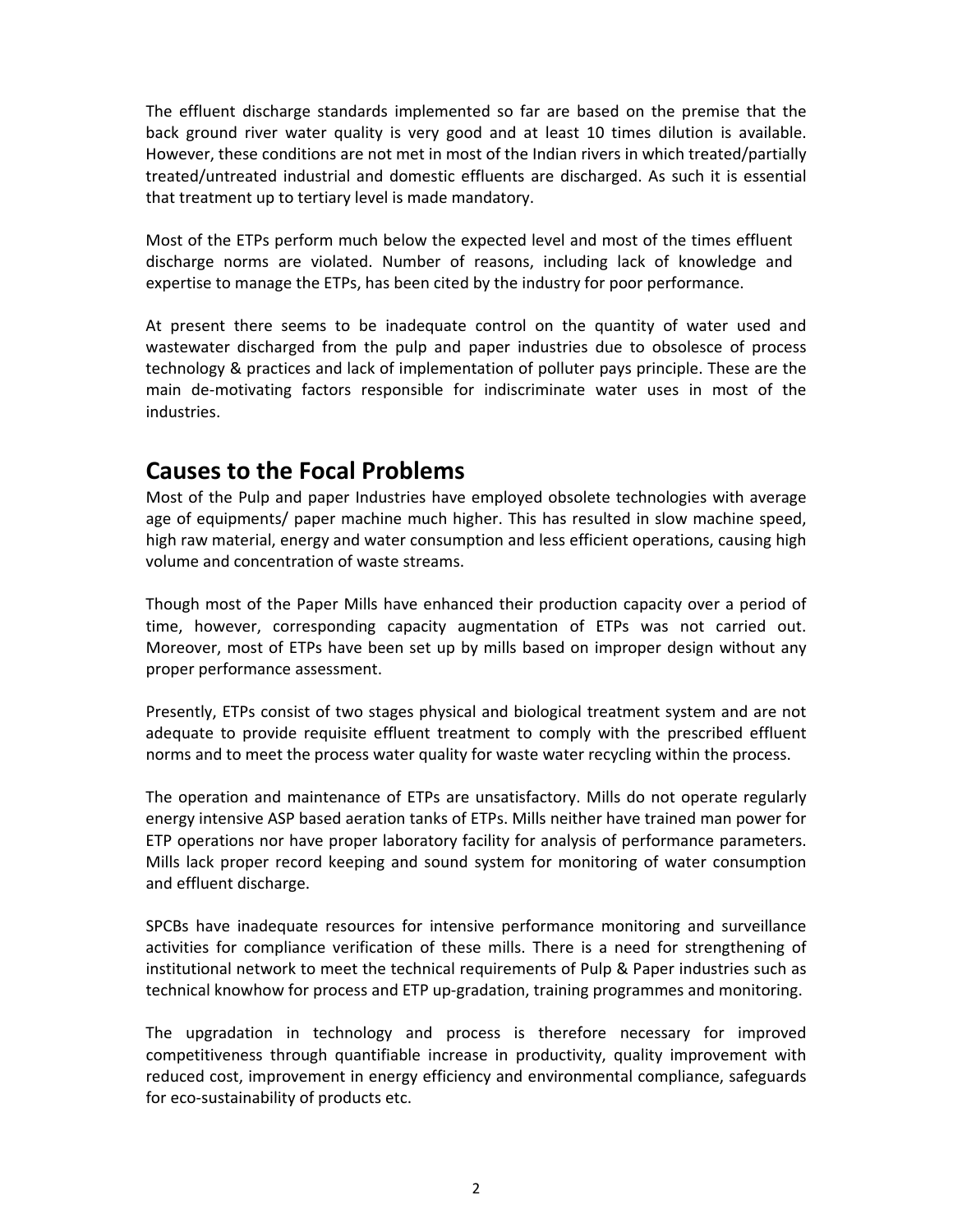The effluent discharge standards implemented so far are based on the premise that the back ground river water quality is very good and at least 10 times dilution is available. However, these conditions are not met in most of the Indian rivers in which treated/partially treated/untreated industrial and domestic effluents are discharged. As such it is essential that treatment up to tertiary level is made mandatory.

Most of the ETPs perform much below the expected level and most of the times effluent discharge norms are violated. Number of reasons, including lack of knowledge and expertise to manage the ETPs, has been cited by the industry for poor performance.

At present there seems to be inadequate control on the quantity of water used and wastewater discharged from the pulp and paper industries due to obsolesce of process technology & practices and lack of implementation of polluter pays principle. These are the main de‐motivating factors responsible for indiscriminate water uses in most of the industries.

### **Causes to the Focal Problems**

Most of the Pulp and paper Industries have employed obsolete technologies with average age of equipments/ paper machine much higher. This has resulted in slow machine speed, high raw material, energy and water consumption and less efficient operations, causing high volume and concentration of waste streams.

Though most of the Paper Mills have enhanced their production capacity over a period of time, however, corresponding capacity augmentation of ETPs was not carried out. Moreover, most of ETPs have been set up by mills based on improper design without any proper performance assessment.

Presently, ETPs consist of two stages physical and biological treatment system and are not adequate to provide requisite effluent treatment to comply with the prescribed effluent norms and to meet the process water quality for waste water recycling within the process.

The operation and maintenance of ETPs are unsatisfactory. Mills do not operate regularly energy intensive ASP based aeration tanks of ETPs. Mills neither have trained man power for ETP operations nor have proper laboratory facility for analysis of performance parameters. Mills lack proper record keeping and sound system for monitoring of water consumption and effluent discharge.

SPCBs have inadequate resources for intensive performance monitoring and surveillance activities for compliance verification of these mills. There is a need for strengthening of institutional network to meet the technical requirements of Pulp & Paper industries such as technical knowhow for process and ETP up-gradation, training programmes and monitoring.

The upgradation in technology and process is therefore necessary for improved competitiveness through quantifiable increase in productivity, quality improvement with reduced cost, improvement in energy efficiency and environmental compliance, safeguards for eco-sustainability of products etc.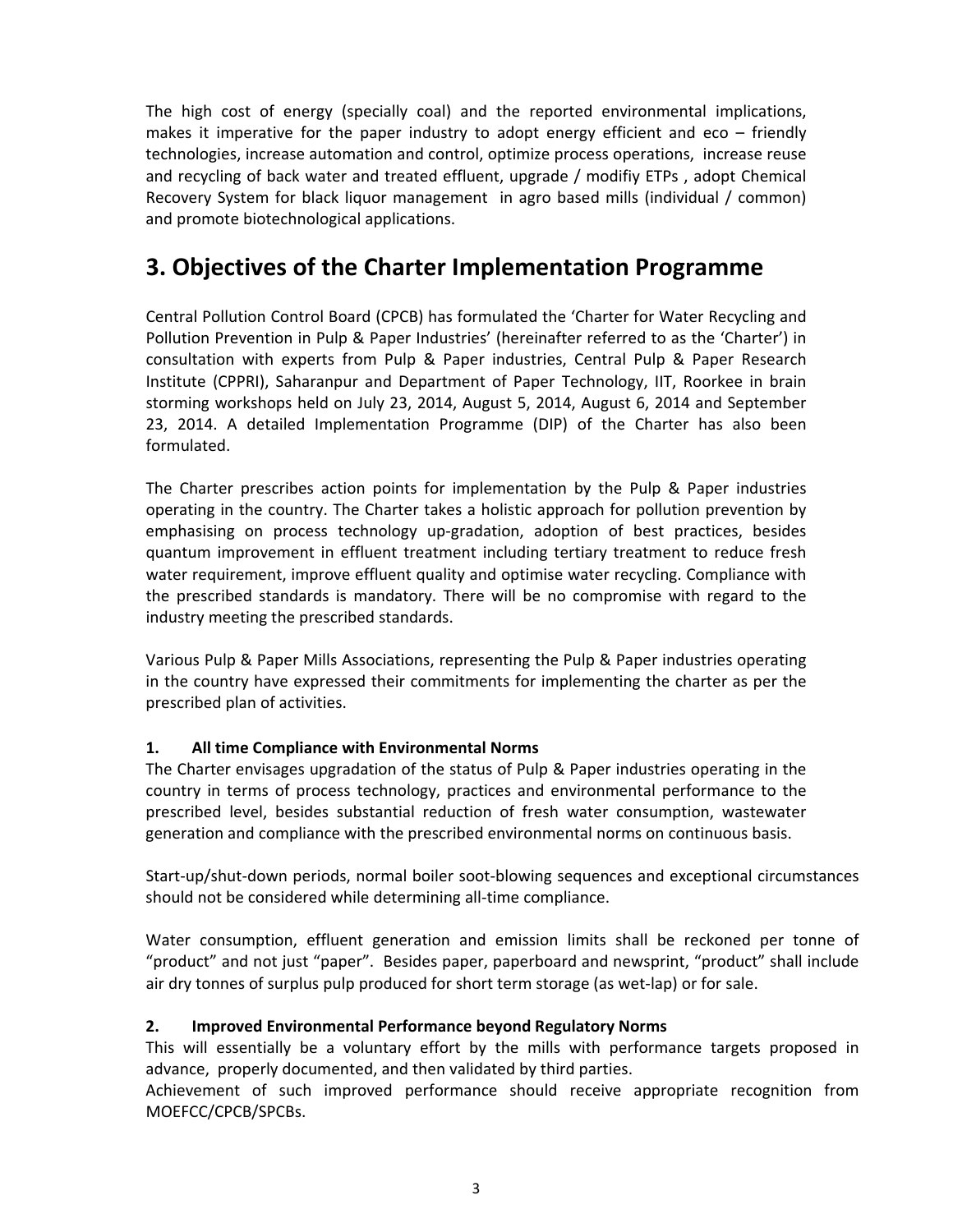The high cost of energy (specially coal) and the reported environmental implications, makes it imperative for the paper industry to adopt energy efficient and eco  $-$  friendly technologies, increase automation and control, optimize process operations, increase reuse and recycling of back water and treated effluent, upgrade / modifiy ETPs , adopt Chemical Recovery System for black liquor management in agro based mills (individual / common) and promote biotechnological applications.

### **3. Objectives of the Charter Implementation Programme**

Central Pollution Control Board (CPCB) has formulated the 'Charter for Water Recycling and Pollution Prevention in Pulp & Paper Industries' (hereinafter referred to as the 'Charter') in consultation with experts from Pulp & Paper industries, Central Pulp & Paper Research Institute (CPPRI), Saharanpur and Department of Paper Technology, IIT, Roorkee in brain storming workshops held on July 23, 2014, August 5, 2014, August 6, 2014 and September 23, 2014. A detailed Implementation Programme (DIP) of the Charter has also been formulated.

The Charter prescribes action points for implementation by the Pulp & Paper industries operating in the country. The Charter takes a holistic approach for pollution prevention by emphasising on process technology up‐gradation, adoption of best practices, besides quantum improvement in effluent treatment including tertiary treatment to reduce fresh water requirement, improve effluent quality and optimise water recycling. Compliance with the prescribed standards is mandatory. There will be no compromise with regard to the industry meeting the prescribed standards.

Various Pulp & Paper Mills Associations, representing the Pulp & Paper industries operating in the country have expressed their commitments for implementing the charter as per the prescribed plan of activities.

#### **1. All time Compliance with Environmental Norms**

The Charter envisages upgradation of the status of Pulp & Paper industries operating in the country in terms of process technology, practices and environmental performance to the prescribed level, besides substantial reduction of fresh water consumption, wastewater generation and compliance with the prescribed environmental norms on continuous basis.

Start-up/shut-down periods, normal boiler soot-blowing sequences and exceptional circumstances should not be considered while determining all-time compliance.

Water consumption, effluent generation and emission limits shall be reckoned per tonne of "product" and not just "paper". Besides paper, paperboard and newsprint, "product" shall include air dry tonnes of surplus pulp produced for short term storage (as wet‐lap) or for sale.

#### **2. Improved Environmental Performance beyond Regulatory Norms**

This will essentially be a voluntary effort by the mills with performance targets proposed in advance, properly documented, and then validated by third parties.

Achievement of such improved performance should receive appropriate recognition from MOEFCC/CPCB/SPCBs.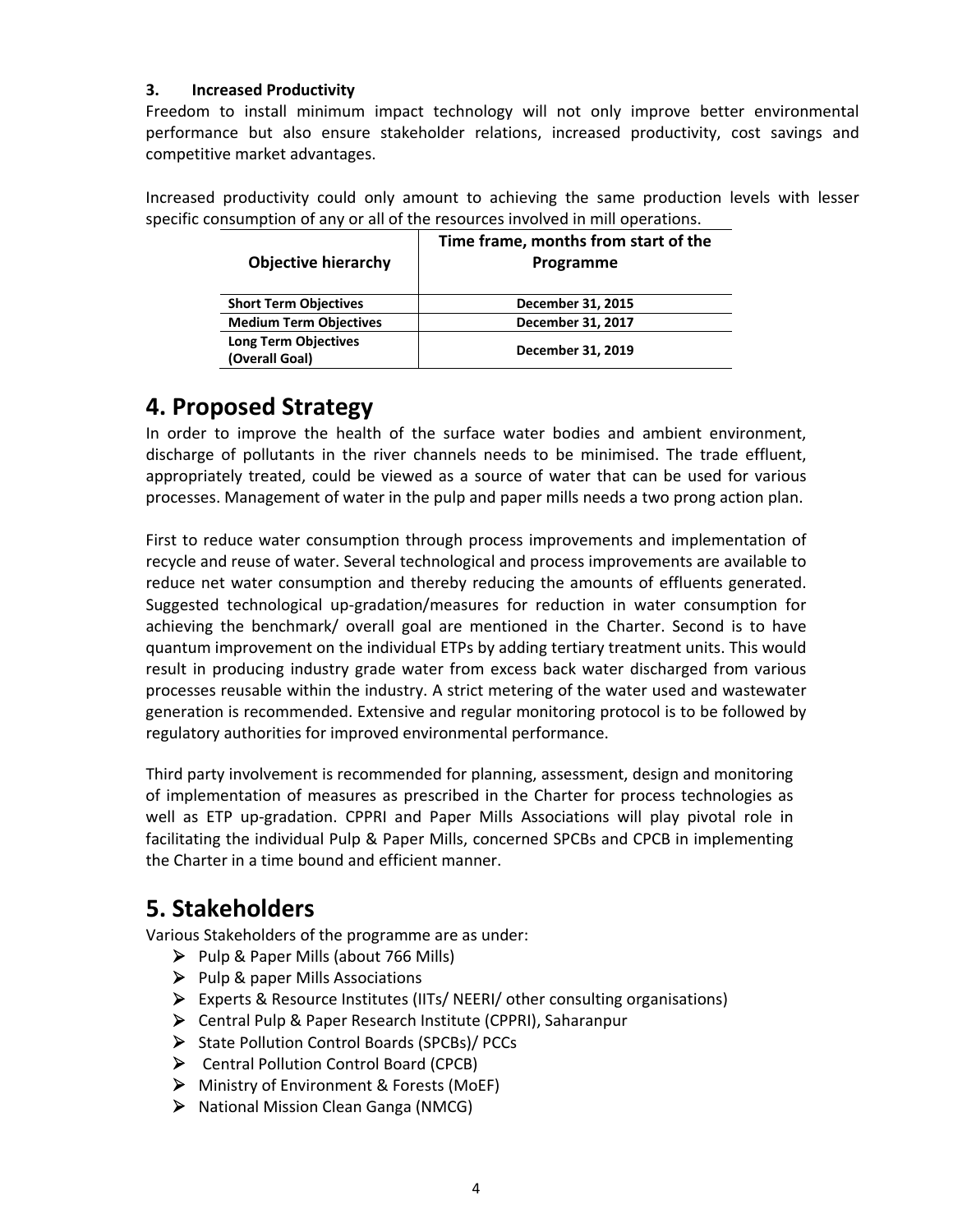#### **3. Increased Productivity**

Freedom to install minimum impact technology will not only improve better environmental performance but also ensure stakeholder relations, increased productivity, cost savings and competitive market advantages.

Increased productivity could only amount to achieving the same production levels with lesser specific consumption of any or all of the resources involved in mill operations.

| <b>Objective hierarchy</b>                    | Time frame, months from start of the<br>Programme |
|-----------------------------------------------|---------------------------------------------------|
| <b>Short Term Objectives</b>                  | December 31, 2015                                 |
| <b>Medium Term Objectives</b>                 | December 31, 2017                                 |
| <b>Long Term Objectives</b><br>(Overall Goal) | December 31, 2019                                 |

### **4. Proposed Strategy**

In order to improve the health of the surface water bodies and ambient environment, discharge of pollutants in the river channels needs to be minimised. The trade effluent, appropriately treated, could be viewed as a source of water that can be used for various processes. Management of water in the pulp and paper mills needs a two prong action plan.

First to reduce water consumption through process improvements and implementation of recycle and reuse of water. Several technological and process improvements are available to reduce net water consumption and thereby reducing the amounts of effluents generated. Suggested technological up‐gradation/measures for reduction in water consumption for achieving the benchmark/ overall goal are mentioned in the Charter. Second is to have quantum improvement on the individual ETPs by adding tertiary treatment units. This would result in producing industry grade water from excess back water discharged from various processes reusable within the industry. A strict metering of the water used and wastewater generation is recommended. Extensive and regular monitoring protocol is to be followed by regulatory authorities for improved environmental performance.

Third party involvement is recommended for planning, assessment, design and monitoring of implementation of measures as prescribed in the Charter for process technologies as well as ETP up-gradation. CPPRI and Paper Mills Associations will play pivotal role in facilitating the individual Pulp & Paper Mills, concerned SPCBs and CPCB in implementing the Charter in a time bound and efficient manner.

### **5. Stakeholders**

Various Stakeholders of the programme are as under:

- $\triangleright$  Pulp & Paper Mills (about 766 Mills)
- $\triangleright$  Pulp & paper Mills Associations
- ¾ Experts & Resource Institutes (IITs/ NEERI/ other consulting organisations)
- ¾ Central Pulp & Paper Research Institute (CPPRI), Saharanpur
- ¾ State Pollution Control Boards (SPCBs)/ PCCs
- ¾ Central Pollution Control Board (CPCB)
- ¾ Ministry of Environment & Forests (MoEF)
- ¾ National Mission Clean Ganga (NMCG)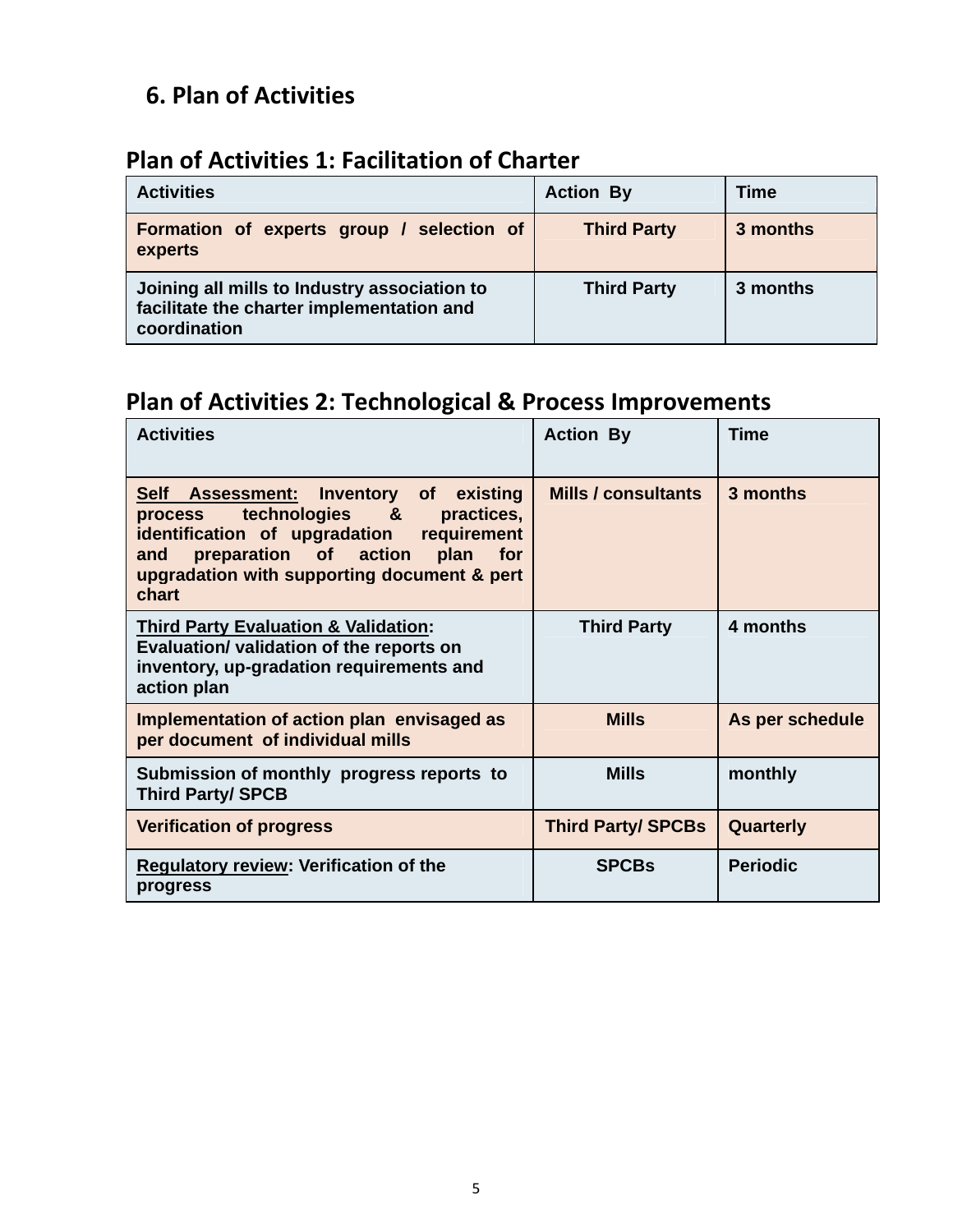## **6. Plan of Activities**

### **Plan of Activities 1: Facilitation of Charter**

| <b>Activities</b>                                                                                         | <b>Action By</b>   | <b>Time</b> |
|-----------------------------------------------------------------------------------------------------------|--------------------|-------------|
| Formation of experts group / selection of<br>experts                                                      | <b>Third Party</b> | 3 months    |
| Joining all mills to Industry association to<br>facilitate the charter implementation and<br>coordination | <b>Third Party</b> | 3 months    |

# **Plan of Activities 2: Technological & Process Improvements**

| <b>Activities</b>                                                                                                                                                                                                                            | <b>Action By</b>          | <b>Time</b>     |
|----------------------------------------------------------------------------------------------------------------------------------------------------------------------------------------------------------------------------------------------|---------------------------|-----------------|
| Self Assessment: Inventory of<br>existing<br>process technologies &<br>practices,<br>identification of upgradation requirement<br>preparation of action<br>plan<br><b>for</b><br>and<br>upgradation with supporting document & pert<br>chart | Mills / consultants       | 3 months        |
| <b>Third Party Evaluation &amp; Validation:</b><br>Evaluation/ validation of the reports on<br>inventory, up-gradation requirements and<br>action plan                                                                                       | <b>Third Party</b>        | 4 months        |
| Implementation of action plan envisaged as<br>per document of individual mills                                                                                                                                                               | <b>Mills</b>              | As per schedule |
| Submission of monthly progress reports to<br><b>Third Party/ SPCB</b>                                                                                                                                                                        | <b>Mills</b>              | monthly         |
| <b>Verification of progress</b>                                                                                                                                                                                                              | <b>Third Party/ SPCBs</b> | Quarterly       |
| <b>Regulatory review: Verification of the</b><br>progress                                                                                                                                                                                    | <b>SPCBs</b>              | <b>Periodic</b> |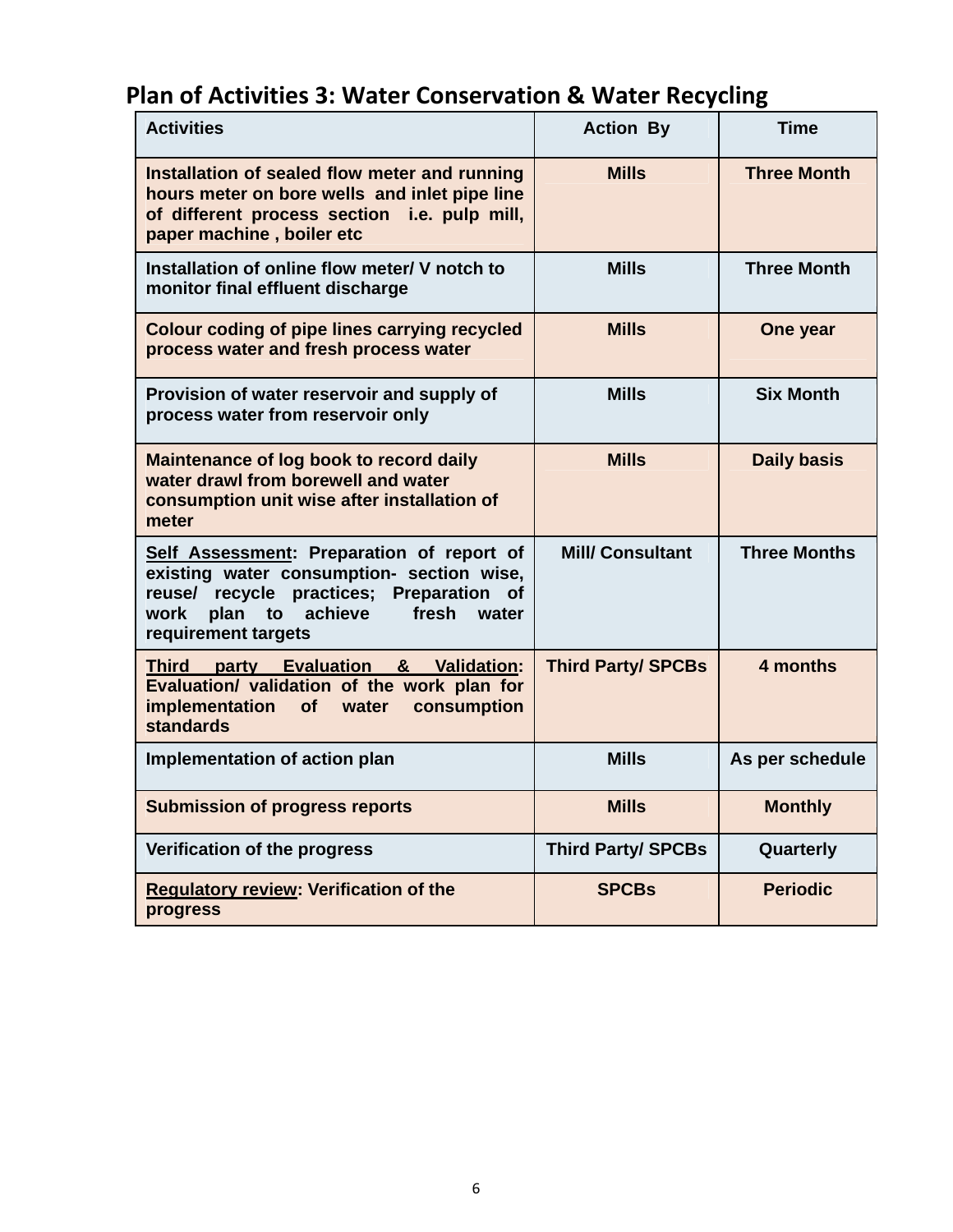# **Plan of Activities 3: Water Conservation & Water Recycling**

| <b>Activities</b>                                                                                                                                                                                                      | <b>Action By</b>          | <b>Time</b>         |
|------------------------------------------------------------------------------------------------------------------------------------------------------------------------------------------------------------------------|---------------------------|---------------------|
| Installation of sealed flow meter and running<br>hours meter on bore wells and inlet pipe line<br>of different process section i.e. pulp mill,<br>paper machine, boiler etc                                            | <b>Mills</b>              | <b>Three Month</b>  |
| Installation of online flow meter/ V notch to<br>monitor final effluent discharge                                                                                                                                      | <b>Mills</b>              | <b>Three Month</b>  |
| Colour coding of pipe lines carrying recycled<br>process water and fresh process water                                                                                                                                 | <b>Mills</b>              | One year            |
| Provision of water reservoir and supply of<br>process water from reservoir only                                                                                                                                        | <b>Mills</b>              | <b>Six Month</b>    |
| Maintenance of log book to record daily<br>water drawl from borewell and water<br>consumption unit wise after installation of<br>meter                                                                                 | <b>Mills</b>              | <b>Daily basis</b>  |
| Self Assessment: Preparation of report of<br>existing water consumption- section wise,<br>reuse/ recycle practices; Preparation<br><b>of</b><br>plan<br>work<br>achieve<br>fresh<br>to<br>water<br>requirement targets | <b>Mill/Consultant</b>    | <b>Three Months</b> |
| Third party Evaluation & Validation:<br>Evaluation/ validation of the work plan for<br>implementation<br><b>of</b><br>water<br>consumption<br><b>standards</b>                                                         | <b>Third Party/ SPCBs</b> | 4 months            |
| Implementation of action plan                                                                                                                                                                                          | <b>Mills</b>              | As per schedule     |
| <b>Submission of progress reports</b>                                                                                                                                                                                  | <b>Mills</b>              | <b>Monthly</b>      |
| Verification of the progress                                                                                                                                                                                           | <b>Third Party/ SPCBs</b> | Quarterly           |
| <b>Regulatory review: Verification of the</b><br>progress                                                                                                                                                              | <b>SPCBs</b>              | <b>Periodic</b>     |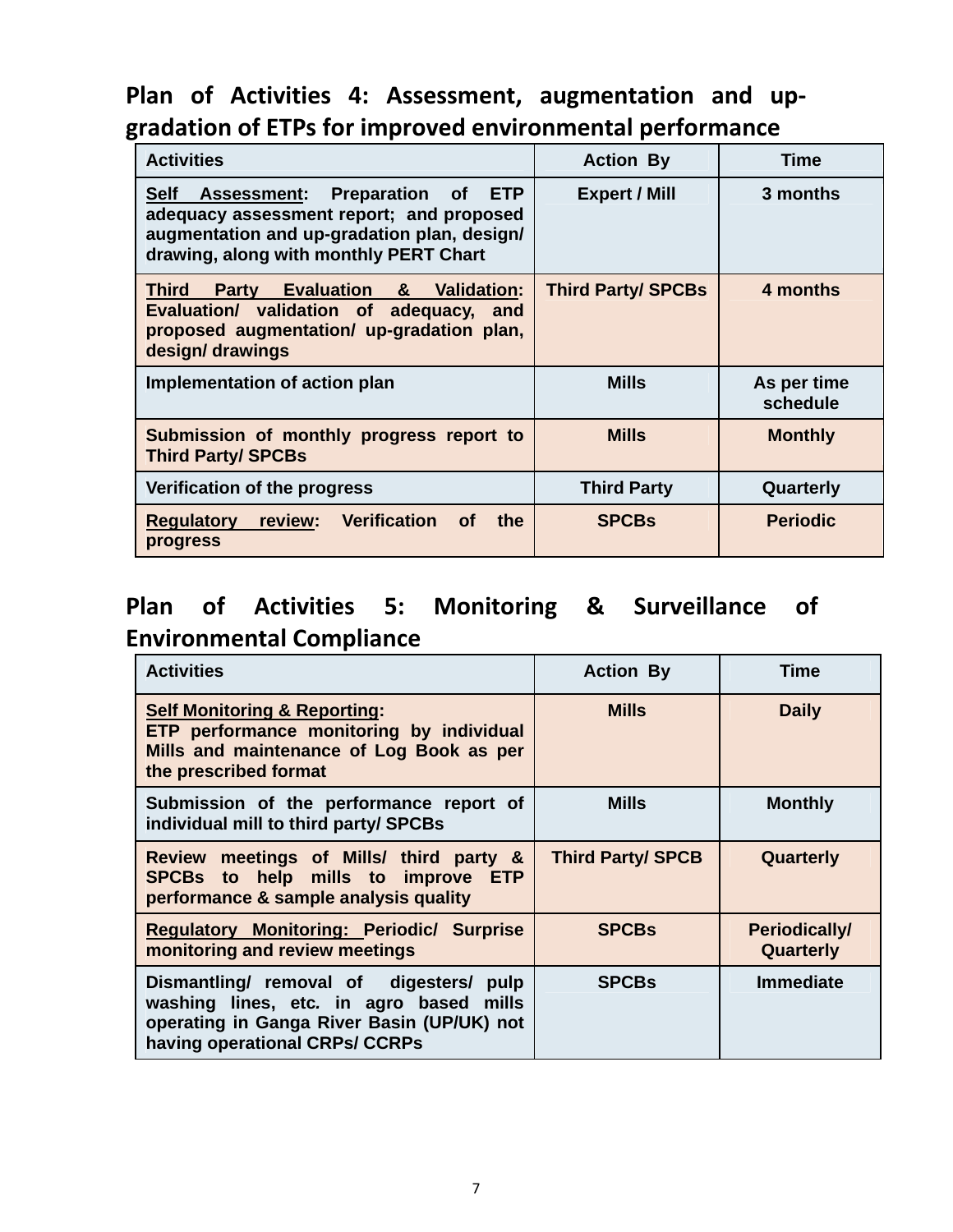# **Plan of Activities 4: Assessment, augmentation and up‐ gradation of ETPs for improved environmental performance**

| <b>Activities</b>                                                                                                                                                                                   | <b>Action By</b>          | Time                    |
|-----------------------------------------------------------------------------------------------------------------------------------------------------------------------------------------------------|---------------------------|-------------------------|
| <b>ETP</b><br><b>Self</b><br><b>Assessment: Preparation of</b><br>adequacy assessment report; and proposed<br>augmentation and up-gradation plan, design/<br>drawing, along with monthly PERT Chart | <b>Expert / Mill</b>      | 3 months                |
| <b>Evaluation &amp;</b><br><b>Third</b><br><b>Validation:</b><br><b>Party</b><br>Evaluation/ validation of adequacy,<br>and<br>proposed augmentation/ up-gradation plan,<br>design/drawings         | <b>Third Party/ SPCBs</b> | 4 months                |
| Implementation of action plan                                                                                                                                                                       | <b>Mills</b>              | As per time<br>schedule |
| Submission of monthly progress report to<br><b>Third Party/ SPCBs</b>                                                                                                                               | <b>Mills</b>              | <b>Monthly</b>          |
| Verification of the progress                                                                                                                                                                        | <b>Third Party</b>        | Quarterly               |
| Verification<br>review:<br>the<br><b>Regulatory</b><br><b>of</b><br>progress                                                                                                                        | <b>SPCBs</b>              | <b>Periodic</b>         |

# **Plan of Activities 5: Monitoring & Surveillance of Environmental Compliance**

| <b>Activities</b>                                                                                                                                                  | <b>Action By</b>         | Time                              |
|--------------------------------------------------------------------------------------------------------------------------------------------------------------------|--------------------------|-----------------------------------|
| <b>Self Monitoring &amp; Reporting:</b><br>ETP performance monitoring by individual<br>Mills and maintenance of Log Book as per<br>the prescribed format           | <b>Mills</b>             | <b>Daily</b>                      |
| Submission of the performance report of<br>individual mill to third party/ SPCBs                                                                                   | <b>Mills</b>             | <b>Monthly</b>                    |
| Review meetings of Mills/ third party &<br>SPCBs to help mills to improve ETP<br>performance & sample analysis quality                                             | <b>Third Party/ SPCB</b> | Quarterly                         |
| <b>Regulatory Monitoring: Periodic/ Surprise</b><br>monitoring and review meetings                                                                                 | <b>SPCBs</b>             | <b>Periodically/</b><br>Quarterly |
| Dismantling/ removal of digesters/ pulp<br>washing lines, etc. in agro based mills<br>operating in Ganga River Basin (UP/UK) not<br>having operational CRPs/ CCRPs | <b>SPCBs</b>             | <b>Immediate</b>                  |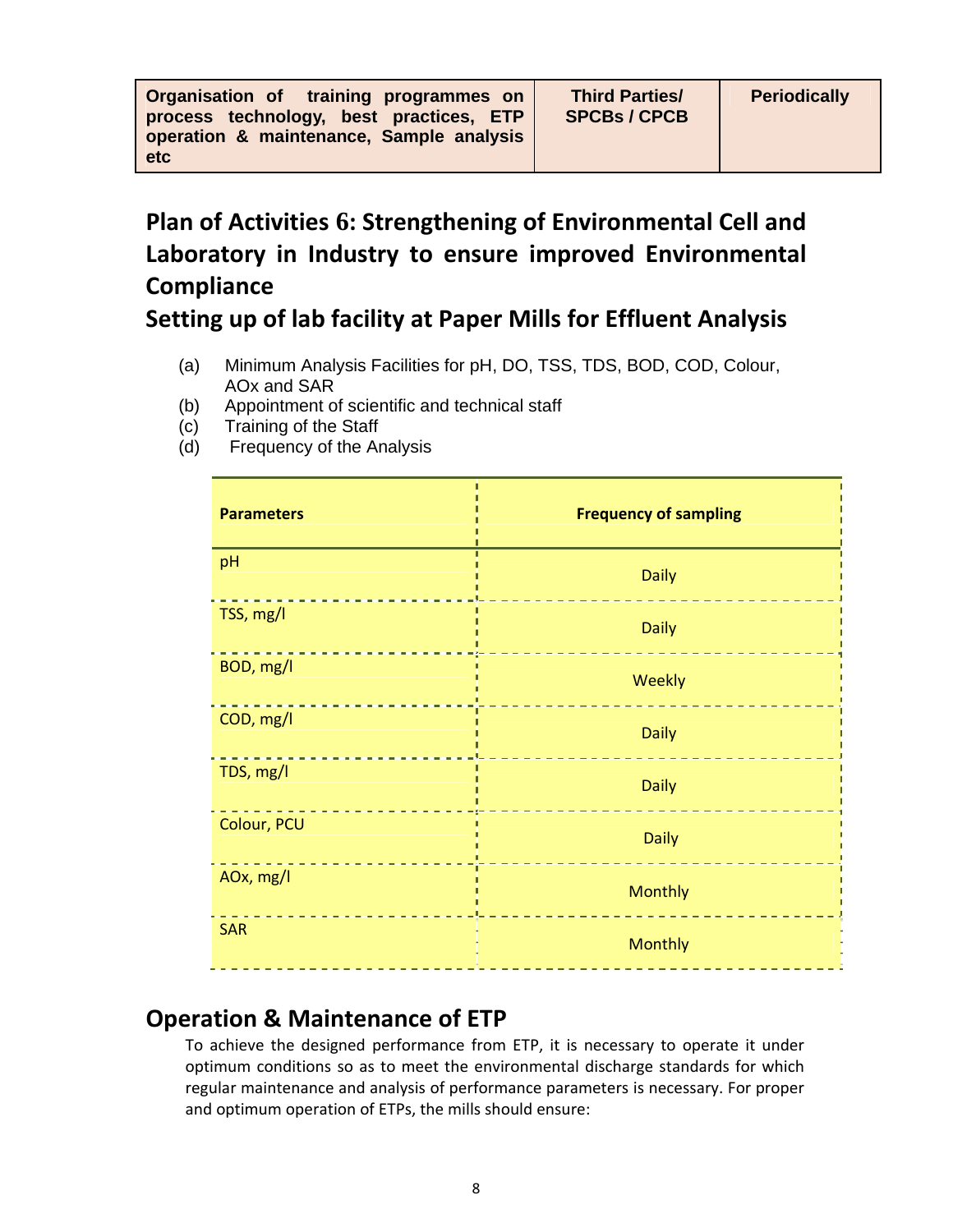| Organisation of training programmes on   |  |  |
|------------------------------------------|--|--|
| process technology, best practices, ETP  |  |  |
| operation & maintenance, Sample analysis |  |  |
| <b>etc</b>                               |  |  |

# **Plan of Activities 6: Strengthening of Environmental Cell and Laboratory in Industry to ensure improved Environmental Compliance**

### **Setting up of lab facility at Paper Mills for Effluent Analysis**

- (a) Minimum Analysis Facilities for pH, DO, TSS, TDS, BOD, COD, Colour, AOx and SAR
- (b) Appointment of scientific and technical staff
- (c) Training of the Staff
- (d) Frequency of the Analysis

| <b>Parameters</b> | <b>Frequency of sampling</b> |
|-------------------|------------------------------|
| pH                | <b>Daily</b>                 |
| TSS, mg/l         | <b>Daily</b>                 |
| BOD, mg/l         | Weekly                       |
| COD, mg/l         | <b>Daily</b>                 |
| TDS, mg/l         | <b>Daily</b>                 |
| Colour, PCU       | <b>Daily</b>                 |
| AOx, mg/l         | <b>Monthly</b>               |
| <b>SAR</b>        | <b>Monthly</b>               |

### **Operation & Maintenance of ETP**

To achieve the designed performance from ETP, it is necessary to operate it under optimum conditions so as to meet the environmental discharge standards for which regular maintenance and analysis of performance parameters is necessary. For proper and optimum operation of ETPs, the mills should ensure: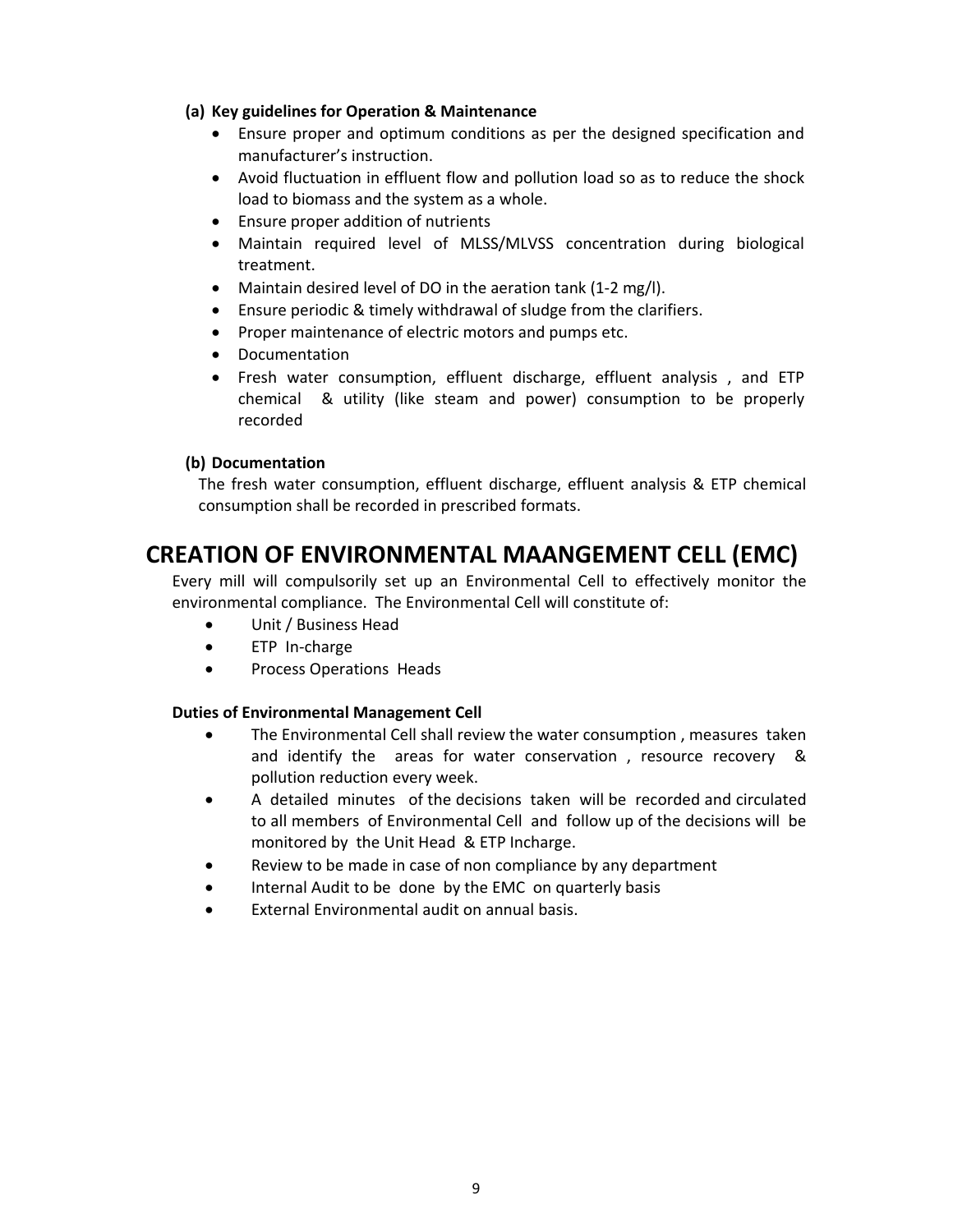#### **(a) Key guidelines for Operation & Maintenance**

- Ensure proper and optimum conditions as per the designed specification and manufacturer's instruction.
- Avoid fluctuation in effluent flow and pollution load so as to reduce the shock load to biomass and the system as a whole.
- Ensure proper addition of nutrients
- Maintain required level of MLSS/MLVSS concentration during biological treatment.
- Maintain desired level of DO in the aeration tank (1‐2 mg/l).
- Ensure periodic & timely withdrawal of sludge from the clarifiers.
- Proper maintenance of electric motors and pumps etc.
- Documentation
- Fresh water consumption, effluent discharge, effluent analysis , and ETP chemical & utility (like steam and power) consumption to be properly recorded

#### **(b) Documentation**

The fresh water consumption, effluent discharge, effluent analysis & ETP chemical consumption shall be recorded in prescribed formats. 

### **CREATION OF ENVIRONMENTAL MAANGEMENT CELL (EMC)**

Every mill will compulsorily set up an Environmental Cell to effectively monitor the environmental compliance. The Environmental Cell will constitute of:

- Unit / Business Head
- ETP In-charge
- Process Operations Heads

#### **Duties of Environmental Management Cell**

- The Environmental Cell shall review the water consumption , measures taken and identify the areas for water conservation, resource recovery & pollution reduction every week.
- A detailed minutes of the decisions taken will be recorded and circulated to all members of Environmental Cell and follow up of the decisions will be monitored by the Unit Head & ETP Incharge.
- Review to be made in case of non compliance by any department
- Internal Audit to be done by the EMC on quarterly basis
- External Environmental audit on annual basis.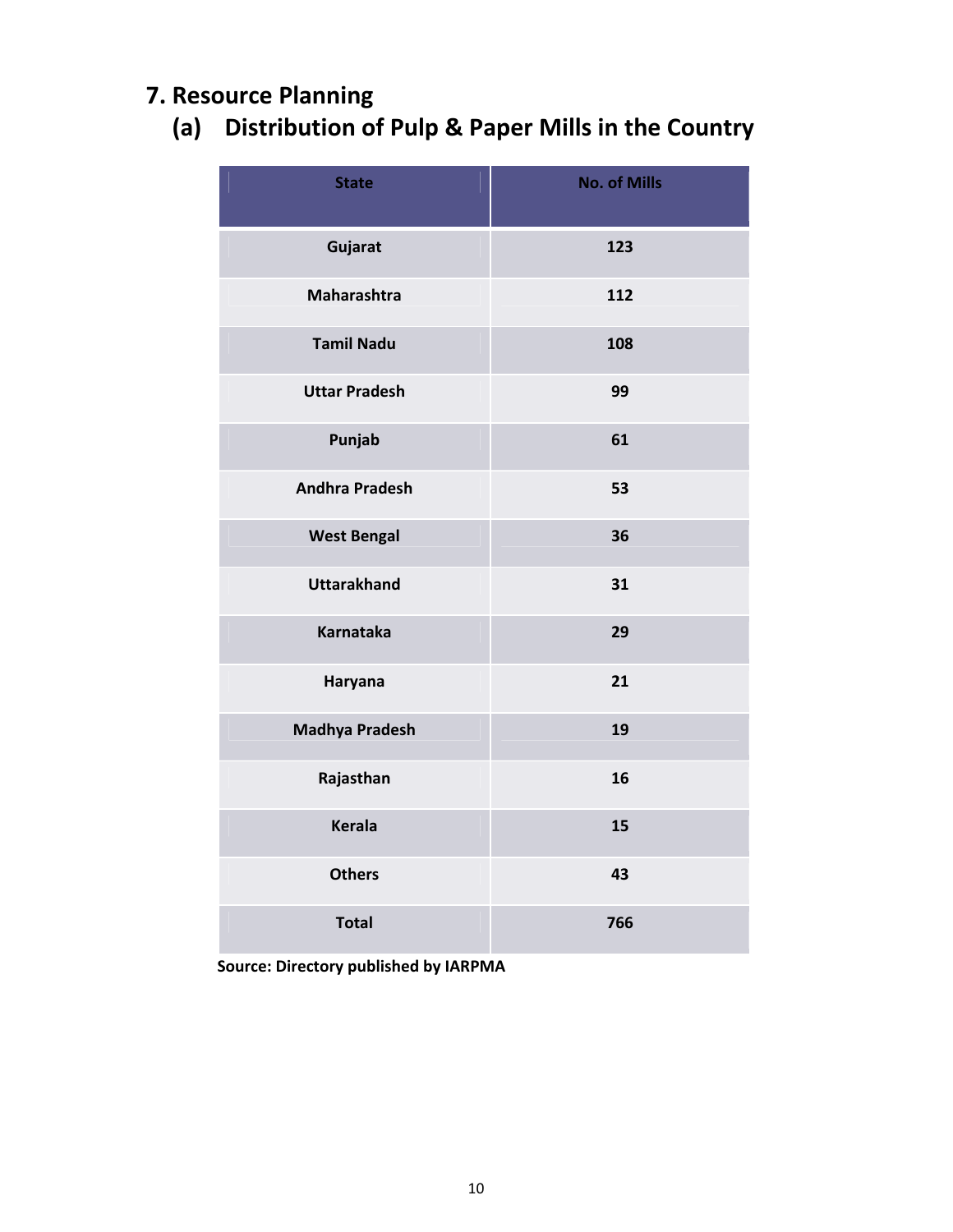# **7. Resource Planning**

# **(a) Distribution of Pulp & Paper Mills in the Country**

| <b>State</b>          | <b>No. of Mills</b> |
|-----------------------|---------------------|
| Gujarat               | 123                 |
| <b>Maharashtra</b>    | 112                 |
| <b>Tamil Nadu</b>     | 108                 |
| <b>Uttar Pradesh</b>  | 99                  |
| Punjab                | 61                  |
| <b>Andhra Pradesh</b> | 53                  |
| <b>West Bengal</b>    | 36                  |
| <b>Uttarakhand</b>    | 31                  |
| <b>Karnataka</b>      | 29                  |
| Haryana               | 21                  |
| <b>Madhya Pradesh</b> | 19                  |
| Rajasthan             | 16                  |
| <b>Kerala</b>         | 15                  |
| <b>Others</b>         | 43                  |
| <b>Total</b>          | 766                 |

 **Source: Directory published by IARPMA**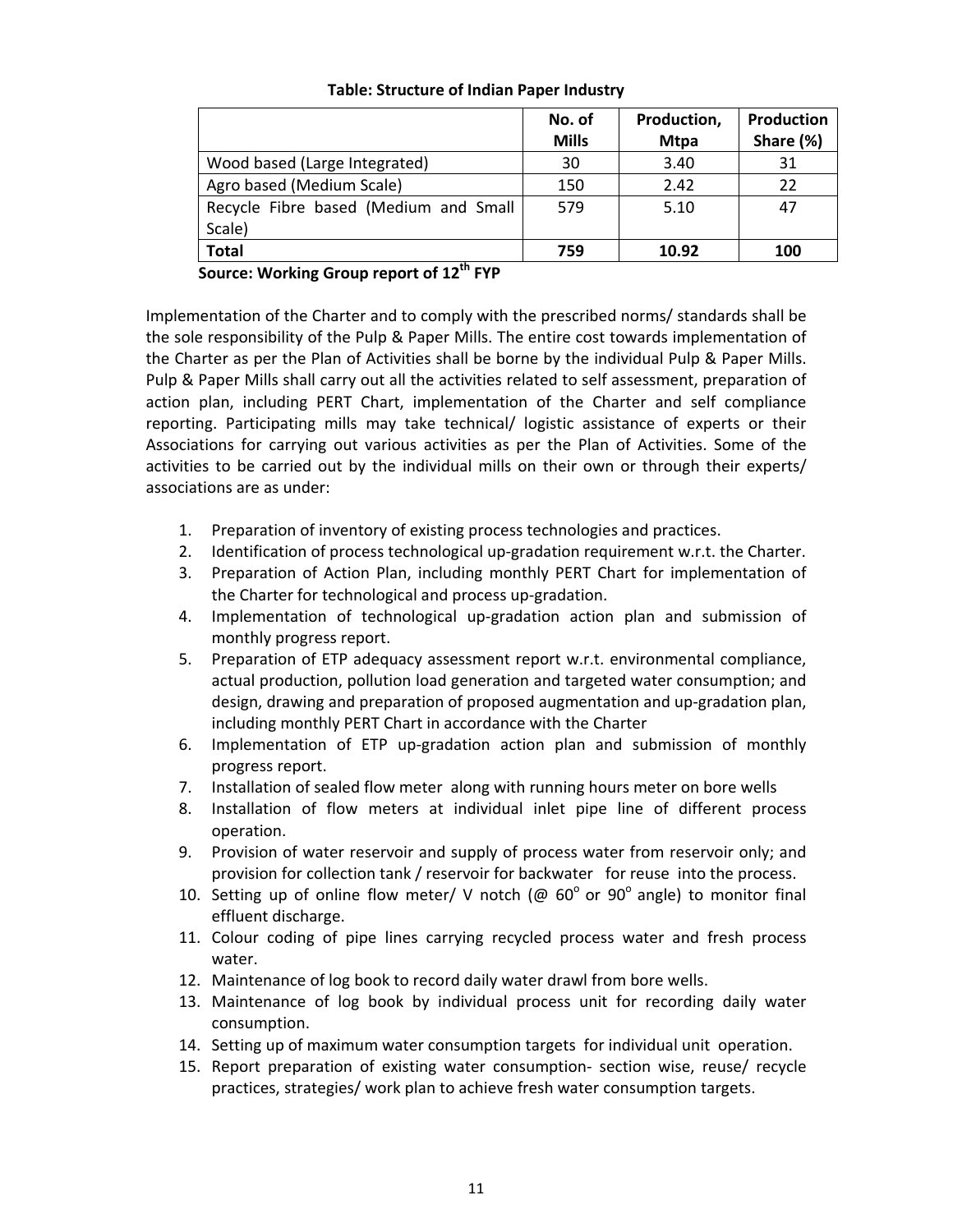#### **Table: Structure of Indian Paper Industry**

|                                       | No. of       | Production, | <b>Production</b> |
|---------------------------------------|--------------|-------------|-------------------|
|                                       | <b>Mills</b> | <b>Mtpa</b> | Share (%)         |
| Wood based (Large Integrated)         | 30           | 3.40        | 31                |
| Agro based (Medium Scale)             | 150          | 2.42        | 22                |
| Recycle Fibre based (Medium and Small | 579          | 5.10        | 47                |
| Scale)                                |              |             |                   |
| <b>Total</b>                          | 759          | 10.92       | 100               |

**Source: Working Group report of 12th FYP**

Implementation of the Charter and to comply with the prescribed norms/ standards shall be the sole responsibility of the Pulp & Paper Mills. The entire cost towards implementation of the Charter as per the Plan of Activities shall be borne by the individual Pulp & Paper Mills. Pulp & Paper Mills shall carry out all the activities related to self assessment, preparation of action plan, including PERT Chart, implementation of the Charter and self compliance reporting. Participating mills may take technical/ logistic assistance of experts or their Associations for carrying out various activities as per the Plan of Activities. Some of the activities to be carried out by the individual mills on their own or through their experts/ associations are as under:

- 1. Preparation of inventory of existing process technologies and practices.
- 2. Identification of process technological up-gradation requirement w.r.t. the Charter.
- 3. Preparation of Action Plan, including monthly PERT Chart for implementation of the Charter for technological and process up‐gradation.
- 4. Implementation of technological up-gradation action plan and submission of monthly progress report.
- 5. Preparation of ETP adequacy assessment report w.r.t. environmental compliance, actual production, pollution load generation and targeted water consumption; and design, drawing and preparation of proposed augmentation and up‐gradation plan, including monthly PERT Chart in accordance with the Charter
- 6. Implementation of ETP up‐gradation action plan and submission of monthly progress report.
- 7. Installation of sealed flow meter along with running hours meter on bore wells
- 8. Installation of flow meters at individual inlet pipe line of different process operation.
- 9. Provision of water reservoir and supply of process water from reservoir only; and provision for collection tank / reservoir for backwater for reuse into the process.
- 10. Setting up of online flow meter/ V notch ( $\omega$  60° or 90° angle) to monitor final effluent discharge.
- 11. Colour coding of pipe lines carrying recycled process water and fresh process water.
- 12. Maintenance of log book to record daily water drawl from bore wells.
- 13. Maintenance of log book by individual process unit for recording daily water consumption.
- 14. Setting up of maximum water consumption targets for individual unit operation.
- 15. Report preparation of existing water consumption‐ section wise, reuse/ recycle practices, strategies/ work plan to achieve fresh water consumption targets.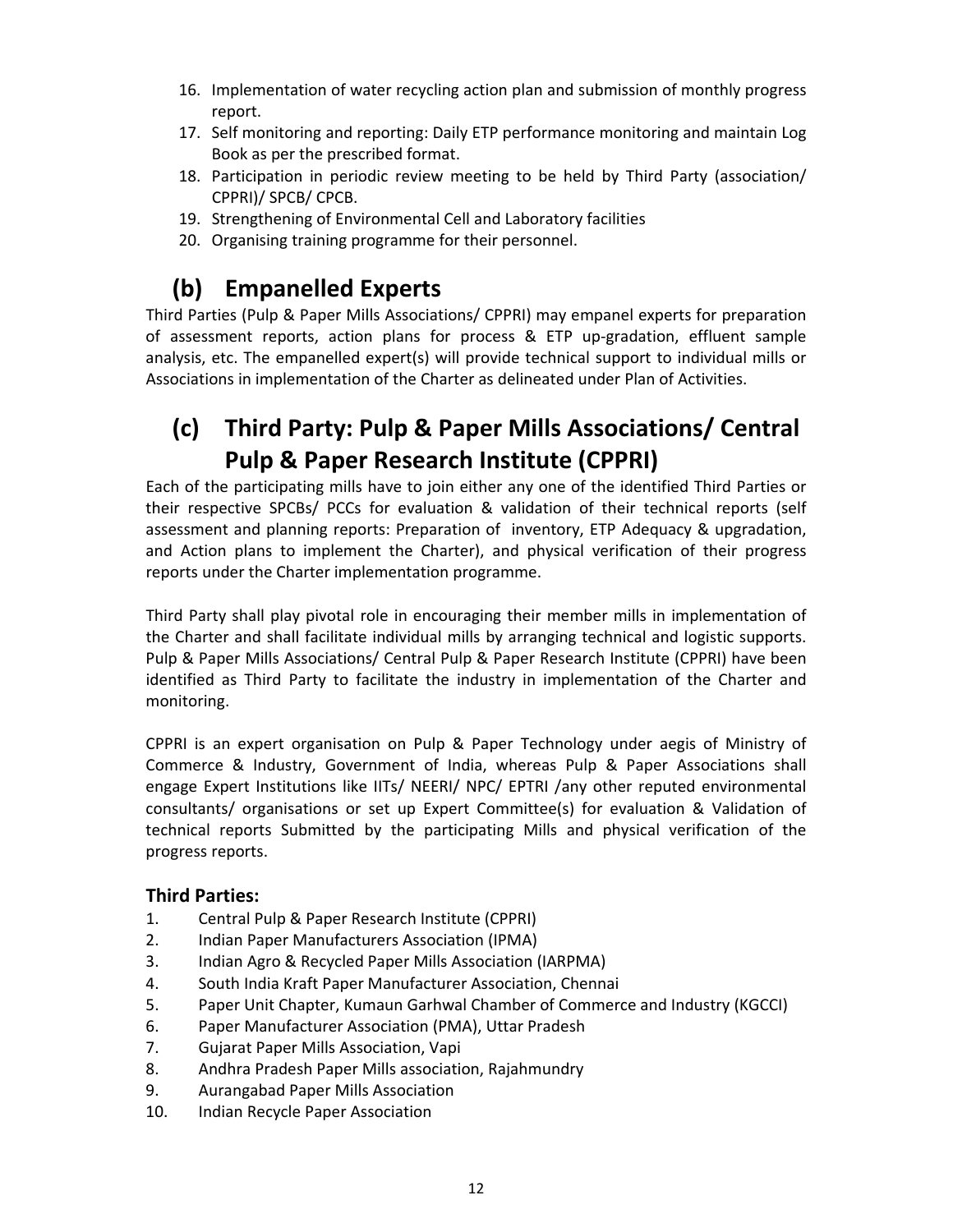- 16. Implementation of water recycling action plan and submission of monthly progress report.
- 17. Self monitoring and reporting: Daily ETP performance monitoring and maintain Log Book as per the prescribed format.
- 18. Participation in periodic review meeting to be held by Third Party (association/ CPPRI)/ SPCB/ CPCB.
- 19. Strengthening of Environmental Cell and Laboratory facilities
- 20. Organising training programme for their personnel.

### **(b) Empanelled Experts**

Third Parties (Pulp & Paper Mills Associations/ CPPRI) may empanel experts for preparation of assessment reports, action plans for process & ETP up‐gradation, effluent sample analysis, etc. The empanelled expert(s) will provide technical support to individual mills or Associations in implementation of the Charter as delineated under Plan of Activities.

# **(c) Third Party: Pulp & Paper Mills Associations/ Central Pulp & Paper Research Institute (CPPRI)**

Each of the participating mills have to join either any one of the identified Third Parties or their respective SPCBs/ PCCs for evaluation & validation of their technical reports (self assessment and planning reports: Preparation of inventory, ETP Adequacy & upgradation, and Action plans to implement the Charter), and physical verification of their progress reports under the Charter implementation programme.

Third Party shall play pivotal role in encouraging their member mills in implementation of the Charter and shall facilitate individual mills by arranging technical and logistic supports. Pulp & Paper Mills Associations/ Central Pulp & Paper Research Institute (CPPRI) have been identified as Third Party to facilitate the industry in implementation of the Charter and monitoring.

CPPRI is an expert organisation on Pulp & Paper Technology under aegis of Ministry of Commerce & Industry, Government of India, whereas Pulp & Paper Associations shall engage Expert Institutions like IITs/ NEERI/ NPC/ EPTRI /any other reputed environmental consultants/ organisations or set up Expert Committee(s) for evaluation & Validation of technical reports Submitted by the participating Mills and physical verification of the progress reports.

#### **Third Parties:**

- 1. Central Pulp & Paper Research Institute (CPPRI)
- 2. Indian Paper Manufacturers Association (IPMA)
- 3. Indian Agro & Recycled Paper Mills Association (IARPMA)
- 4. South India Kraft Paper Manufacturer Association, Chennai
- 5. Paper Unit Chapter, Kumaun Garhwal Chamber of Commerce and Industry (KGCCI)
- 6. Paper Manufacturer Association (PMA), Uttar Pradesh
- 7. Gujarat Paper Mills Association, Vapi
- 8. Andhra Pradesh Paper Mills association, Rajahmundry
- 9. Aurangabad Paper Mills Association
- 10. Indian Recycle Paper Association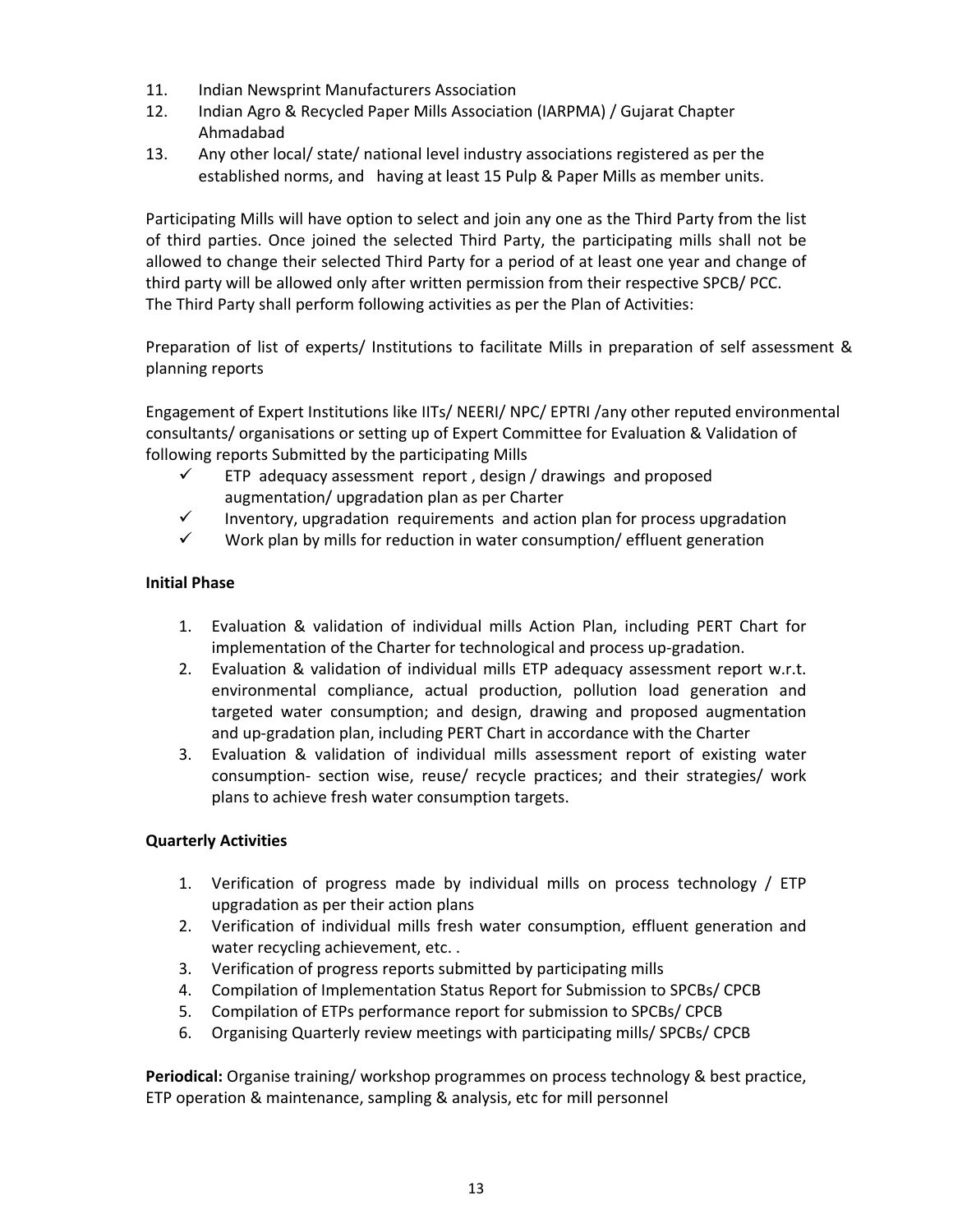- 11. Indian Newsprint Manufacturers Association
- 12. Indian Agro & Recycled Paper Mills Association (IARPMA) / Gujarat Chapter Ahmadabad
- 13. Any other local/ state/ national level industry associations registered as per the established norms, and having at least 15 Pulp & Paper Mills as member units.

Participating Mills will have option to select and join any one as the Third Party from the list of third parties. Once joined the selected Third Party, the participating mills shall not be allowed to change their selected Third Party for a period of at least one year and change of third party will be allowed only after written permission from their respective SPCB/ PCC. The Third Party shall perform following activities as per the Plan of Activities:

Preparation of list of experts/ Institutions to facilitate Mills in preparation of self assessment & planning reports

Engagement of Expert Institutions like IITs/ NEERI/ NPC/ EPTRI /any other reputed environmental consultants/ organisations or setting up of Expert Committee for Evaluation & Validation of following reports Submitted by the participating Mills

- $\checkmark$  ETP adequacy assessment report, design / drawings and proposed augmentation/ upgradation plan as per Charter
- $\checkmark$  Inventory, upgradation requirements and action plan for process upgradation
- $\checkmark$  Work plan by mills for reduction in water consumption/ effluent generation

#### **Initial Phase**

- 1. Evaluation & validation of individual mills Action Plan, including PERT Chart for implementation of the Charter for technological and process up-gradation.
- 2. Evaluation & validation of individual mills ETP adequacy assessment report w.r.t. environmental compliance, actual production, pollution load generation and targeted water consumption; and design, drawing and proposed augmentation and up‐gradation plan, including PERT Chart in accordance with the Charter
- 3. Evaluation & validation of individual mills assessment report of existing water consumption‐ section wise, reuse/ recycle practices; and their strategies/ work plans to achieve fresh water consumption targets.

#### **Quarterly Activities**

- 1. Verification of progress made by individual mills on process technology / ETP upgradation as per their action plans
- 2. Verification of individual mills fresh water consumption, effluent generation and water recycling achievement, etc. .
- 3. Verification of progress reports submitted by participating mills
- 4. Compilation of Implementation Status Report for Submission to SPCBs/ CPCB
- 5. Compilation of ETPs performance report for submission to SPCBs/ CPCB
- 6. Organising Quarterly review meetings with participating mills/ SPCBs/ CPCB

**Periodical:** Organise training/ workshop programmes on process technology & best practice, ETP operation & maintenance, sampling & analysis, etc for mill personnel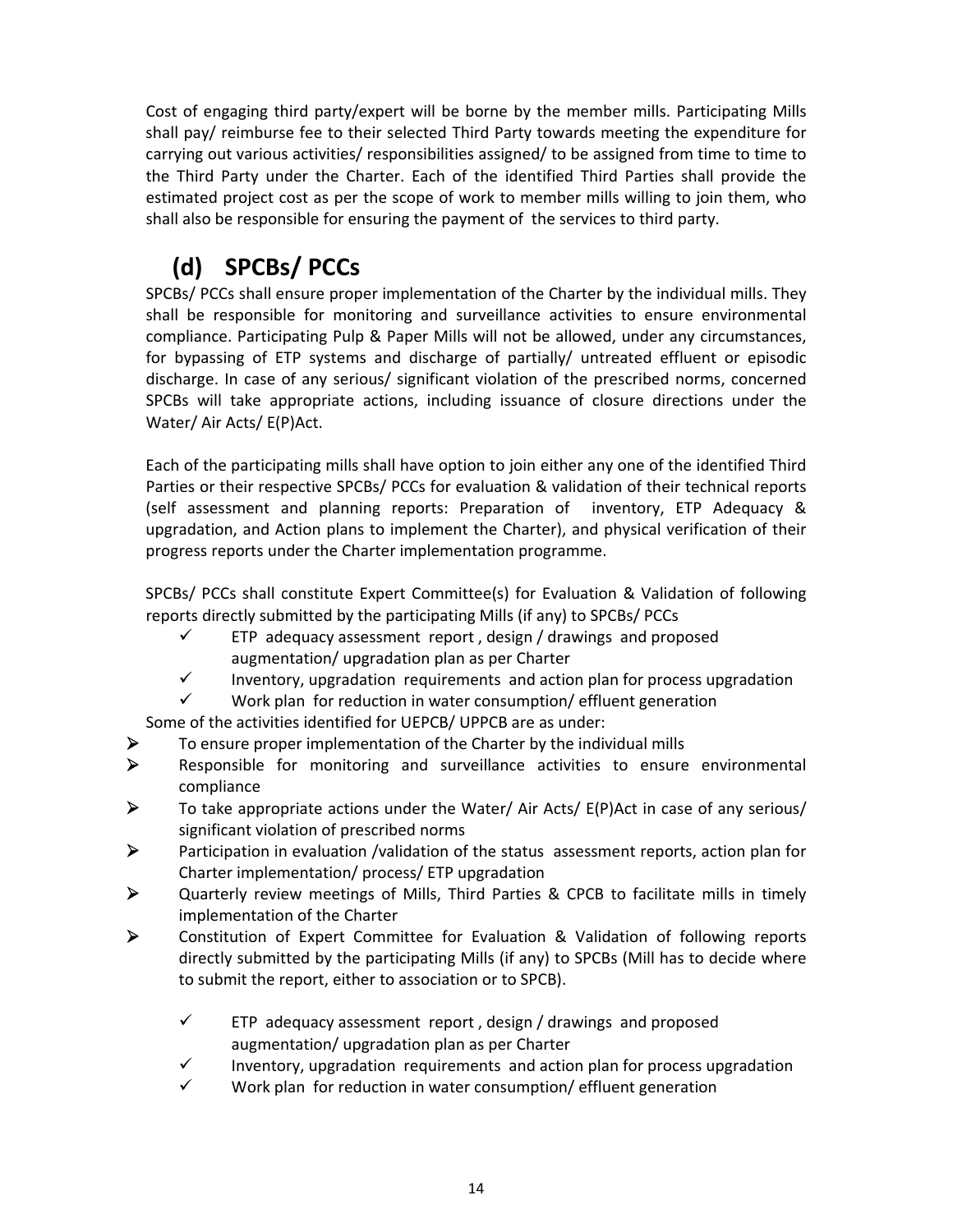Cost of engaging third party/expert will be borne by the member mills. Participating Mills shall pay/ reimburse fee to their selected Third Party towards meeting the expenditure for carrying out various activities/ responsibilities assigned/ to be assigned from time to time to the Third Party under the Charter. Each of the identified Third Parties shall provide the estimated project cost as per the scope of work to member mills willing to join them, who shall also be responsible for ensuring the payment of the services to third party.

# **(d) SPCBs/ PCCs**

SPCBs/ PCCs shall ensure proper implementation of the Charter by the individual mills. They shall be responsible for monitoring and surveillance activities to ensure environmental compliance. Participating Pulp & Paper Mills will not be allowed, under any circumstances, for bypassing of ETP systems and discharge of partially/ untreated effluent or episodic discharge. In case of any serious/ significant violation of the prescribed norms, concerned SPCBs will take appropriate actions, including issuance of closure directions under the Water/ Air Acts/ E(P)Act.

Each of the participating mills shall have option to join either any one of the identified Third Parties or their respective SPCBs/ PCCs for evaluation & validation of their technical reports (self assessment and planning reports: Preparation of inventory, ETP Adequacy & upgradation, and Action plans to implement the Charter), and physical verification of their progress reports under the Charter implementation programme.

SPCBs/ PCCs shall constitute Expert Committee(s) for Evaluation & Validation of following reports directly submitted by the participating Mills (if any) to SPCBs/ PCCs

- $\checkmark$  ETP adequacy assessment report, design / drawings and proposed augmentation/ upgradation plan as per Charter
- $\checkmark$  Inventory, upgradation requirements and action plan for process upgradation
- $\checkmark$  Work plan for reduction in water consumption/ effluent generation

Some of the activities identified for UEPCB/ UPPCB are as under:

- $\triangleright$  To ensure proper implementation of the Charter by the individual mills
- ¾ Responsible for monitoring and surveillance activities to ensure environmental compliance
- $\triangleright$  To take appropriate actions under the Water/ Air Acts/ E(P)Act in case of any serious/ significant violation of prescribed norms
- $\triangleright$  Participation in evaluation /validation of the status assessment reports, action plan for Charter implementation/ process/ ETP upgradation
- ¾ Quarterly review meetings of Mills, Third Parties & CPCB to facilitate mills in timely implementation of the Charter
- ¾ Constitution of Expert Committee for Evaluation & Validation of following reports directly submitted by the participating Mills (if any) to SPCBs (Mill has to decide where to submit the report, either to association or to SPCB).
	- $\checkmark$  ETP adequacy assessment report, design / drawings and proposed augmentation/ upgradation plan as per Charter
	- Inventory, upgradation requirements and action plan for process upgradation
	- $\checkmark$  Work plan for reduction in water consumption/ effluent generation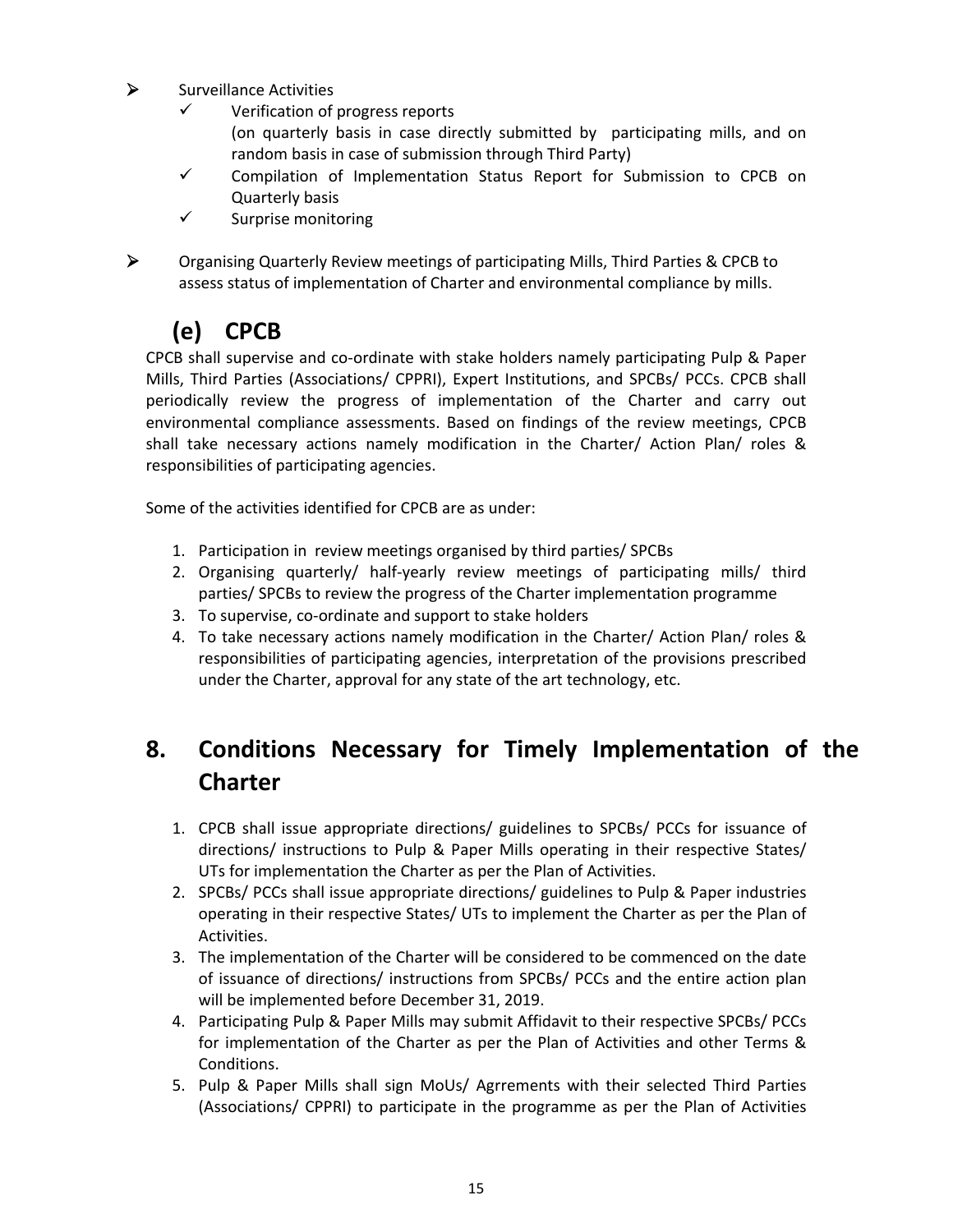- $\triangleright$  Surveillance Activities
	- $\checkmark$  Verification of progress reports (on quarterly basis in case directly submitted by participating mills, and on random basis in case of submission through Third Party)
	- $\checkmark$  Compilation of Implementation Status Report for Submission to CPCB on Quarterly basis
	- $\checkmark$  Surprise monitoring
- 

¾ Organising Quarterly Review meetings of participating Mills, Third Parties & CPCB to assess status of implementation of Charter and environmental compliance by mills.

# **(e) CPCB**

CPCB shall supervise and co‐ordinate with stake holders namely participating Pulp & Paper Mills, Third Parties (Associations/ CPPRI), Expert Institutions, and SPCBs/ PCCs. CPCB shall periodically review the progress of implementation of the Charter and carry out environmental compliance assessments. Based on findings of the review meetings, CPCB shall take necessary actions namely modification in the Charter/ Action Plan/ roles & responsibilities of participating agencies.

Some of the activities identified for CPCB are as under:

- 1. Participation in review meetings organised by third parties/ SPCBs
- 2. Organising quarterly/ half-yearly review meetings of participating mills/ third parties/ SPCBs to review the progress of the Charter implementation programme
- 3. To supervise, co‐ordinate and support to stake holders
- 4. To take necessary actions namely modification in the Charter/ Action Plan/ roles & responsibilities of participating agencies, interpretation of the provisions prescribed under the Charter, approval for any state of the art technology, etc.

### **8. Conditions Necessary for Timely Implementation of the Charter**

- 1. CPCB shall issue appropriate directions/ guidelines to SPCBs/ PCCs for issuance of directions/ instructions to Pulp & Paper Mills operating in their respective States/ UTs for implementation the Charter as per the Plan of Activities.
- 2. SPCBs/ PCCs shall issue appropriate directions/ guidelines to Pulp & Paper industries operating in their respective States/ UTs to implement the Charter as per the Plan of Activities.
- 3. The implementation of the Charter will be considered to be commenced on the date of issuance of directions/ instructions from SPCBs/ PCCs and the entire action plan will be implemented before December 31, 2019.
- 4. Participating Pulp & Paper Mills may submit Affidavit to their respective SPCBs/ PCCs for implementation of the Charter as per the Plan of Activities and other Terms & Conditions.
- 5. Pulp & Paper Mills shall sign MoUs/ Agrrements with their selected Third Parties (Associations/ CPPRI) to participate in the programme as per the Plan of Activities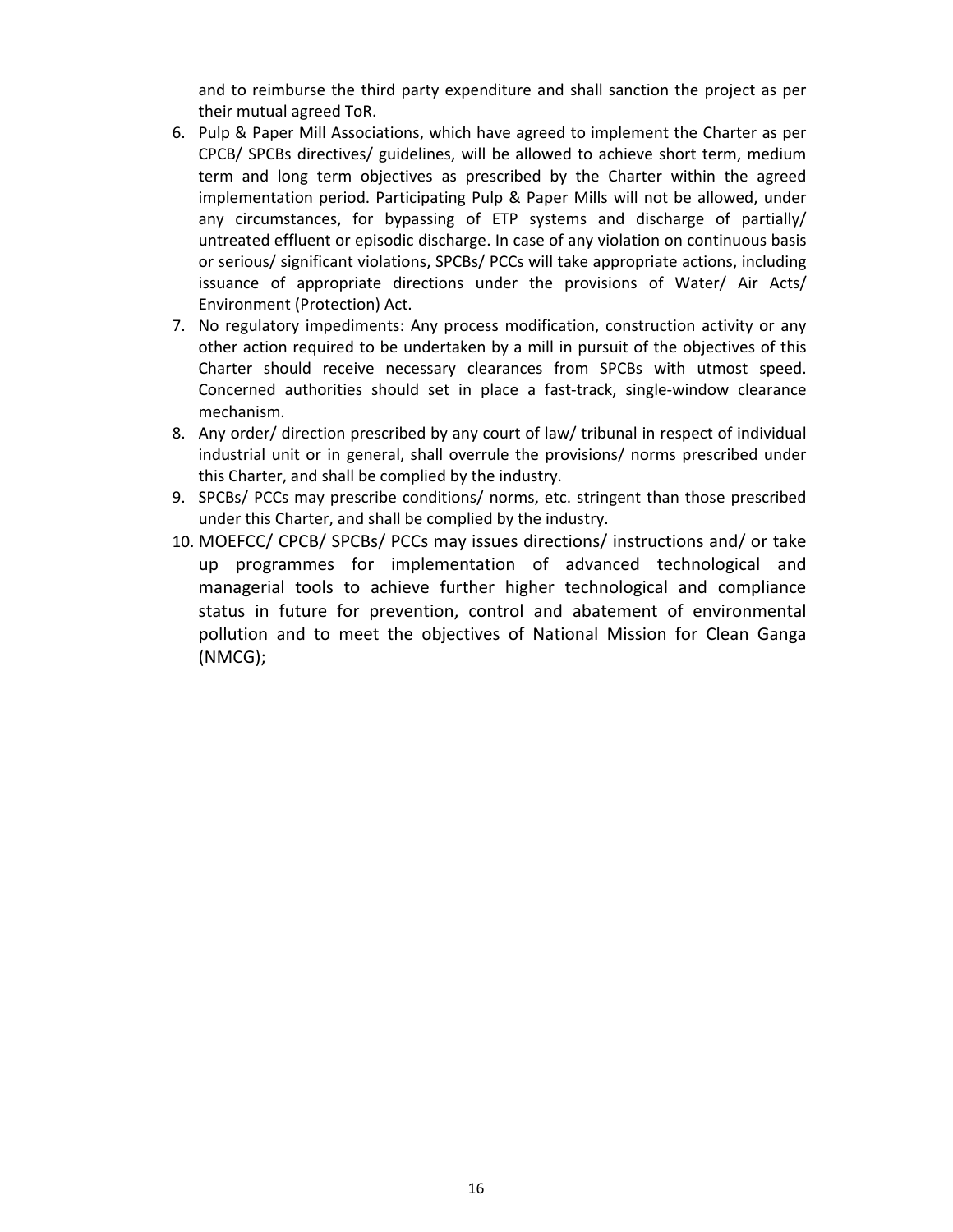and to reimburse the third party expenditure and shall sanction the project as per their mutual agreed ToR.

- 6. Pulp & Paper Mill Associations, which have agreed to implement the Charter as per CPCB/ SPCBs directives/ guidelines, will be allowed to achieve short term, medium term and long term objectives as prescribed by the Charter within the agreed implementation period. Participating Pulp & Paper Mills will not be allowed, under any circumstances, for bypassing of ETP systems and discharge of partially/ untreated effluent or episodic discharge. In case of any violation on continuous basis or serious/ significant violations, SPCBs/ PCCs will take appropriate actions, including issuance of appropriate directions under the provisions of Water/ Air Acts/ Environment (Protection) Act.
- 7. No regulatory impediments: Any process modification, construction activity or any other action required to be undertaken by a mill in pursuit of the objectives of this Charter should receive necessary clearances from SPCBs with utmost speed. Concerned authorities should set in place a fast-track, single-window clearance mechanism.
- 8. Any order/ direction prescribed by any court of law/ tribunal in respect of individual industrial unit or in general, shall overrule the provisions/ norms prescribed under this Charter, and shall be complied by the industry.
- 9. SPCBs/ PCCs may prescribe conditions/ norms, etc. stringent than those prescribed under this Charter, and shall be complied by the industry.
- 10. MOEFCC/ CPCB/ SPCBs/ PCCs may issues directions/ instructions and/ or take up programmes for implementation of advanced technological and managerial tools to achieve further higher technological and compliance status in future for prevention, control and abatement of environmental pollution and to meet the objectives of National Mission for Clean Ganga (NMCG);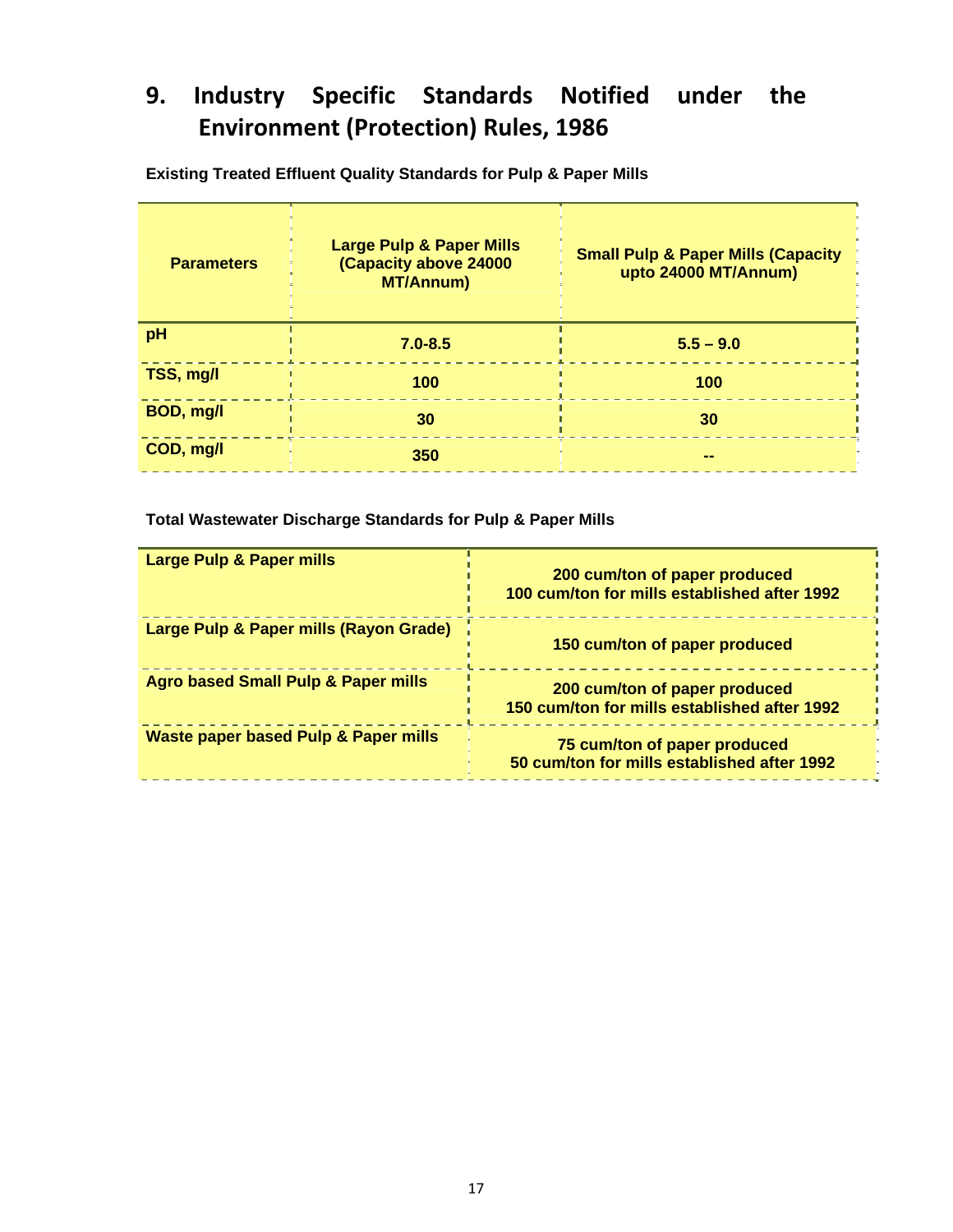# **9. Industry Specific Standards Notified under the Environment (Protection) Rules, 1986**

| <b>Parameters</b> | <b>Large Pulp &amp; Paper Mills</b><br>(Capacity above 24000<br><b>MT/Annum)</b> | <b>Small Pulp &amp; Paper Mills (Capacity</b><br>upto 24000 MT/Annum) |
|-------------------|----------------------------------------------------------------------------------|-----------------------------------------------------------------------|
| pH                | $7.0 - 8.5$                                                                      | $5.5 - 9.0$                                                           |
| TSS, mg/l         | 100                                                                              | 100                                                                   |
| BOD, mg/l         | 30                                                                               | 30                                                                    |
| COD, mg/l         | 350                                                                              |                                                                       |

**Existing Treated Effluent Quality Standards for Pulp & Paper Mills** 

**Total Wastewater Discharge Standards for Pulp & Paper Mills** 

| <b>Large Pulp &amp; Paper mills</b>             | 200 cum/ton of paper produced<br>100 cum/ton for mills established after 1992 |
|-------------------------------------------------|-------------------------------------------------------------------------------|
| Large Pulp & Paper mills (Rayon Grade)          | 150 cum/ton of paper produced                                                 |
| <b>Agro based Small Pulp &amp; Paper mills</b>  | 200 cum/ton of paper produced<br>150 cum/ton for mills established after 1992 |
| <b>Waste paper based Pulp &amp; Paper mills</b> | 75 cum/ton of paper produced<br>50 cum/ton for mills established after 1992   |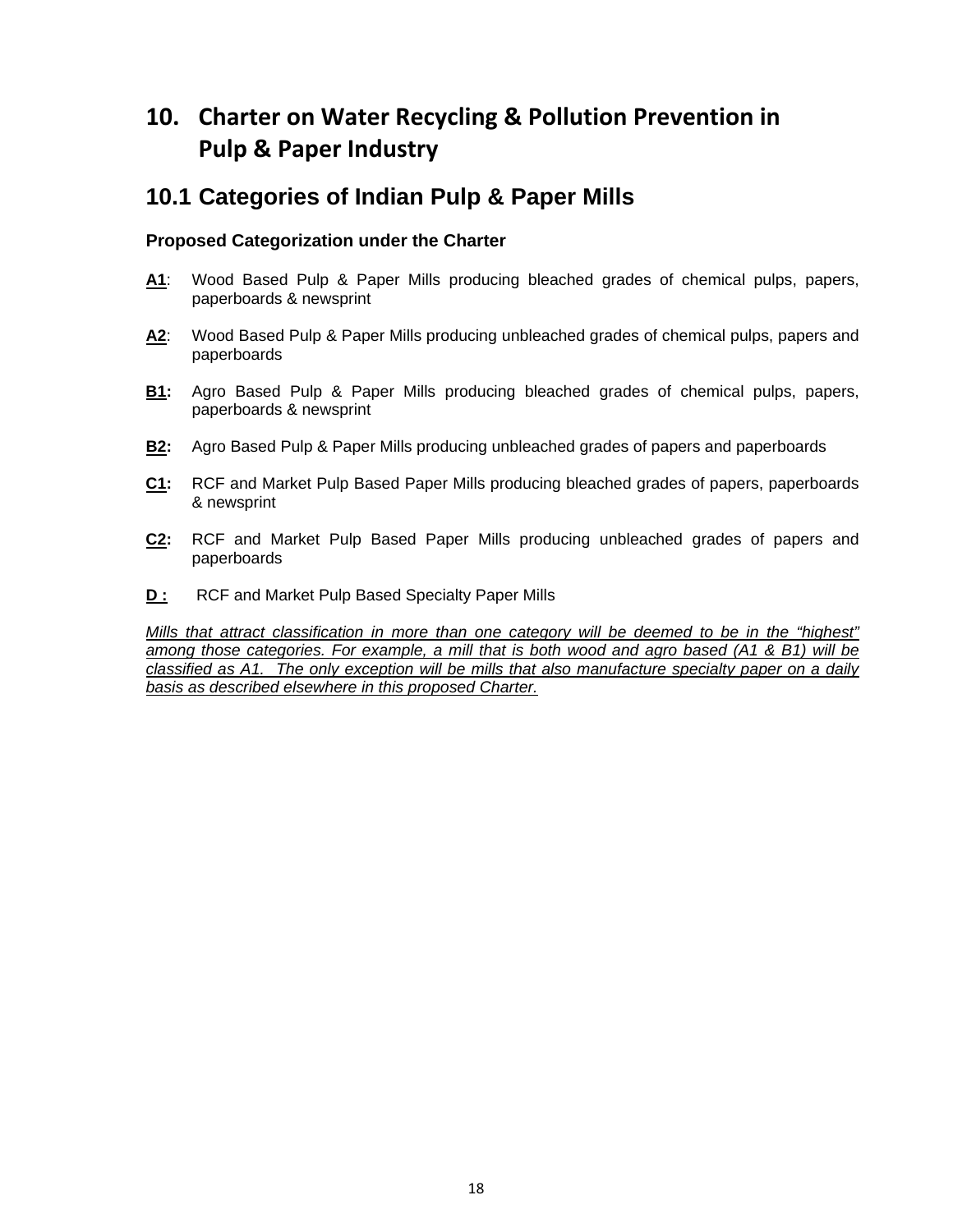### **10. Charter on Water Recycling & Pollution Prevention in Pulp & Paper Industry**

### **10.1 Categories of Indian Pulp & Paper Mills**

#### **Proposed Categorization under the Charter**

- **A1**: Wood Based Pulp & Paper Mills producing bleached grades of chemical pulps, papers, paperboards & newsprint
- **A2**: Wood Based Pulp & Paper Mills producing unbleached grades of chemical pulps, papers and paperboards
- **B1:** Agro Based Pulp & Paper Mills producing bleached grades of chemical pulps, papers, paperboards & newsprint
- **B2:** Agro Based Pulp & Paper Mills producing unbleached grades of papers and paperboards
- **C1:** RCF and Market Pulp Based Paper Mills producing bleached grades of papers, paperboards & newsprint
- **C2:** RCF and Market Pulp Based Paper Mills producing unbleached grades of papers and paperboards
- **D :** RCF and Market Pulp Based Specialty Paper Mills

*Mills that attract classification in more than one category will be deemed to be in the "highest" among those categories. For example, a mill that is both wood and agro based (A1 & B1) will be classified as A1. The only exception will be mills that also manufacture specialty paper on a daily basis as described elsewhere in this proposed Charter.*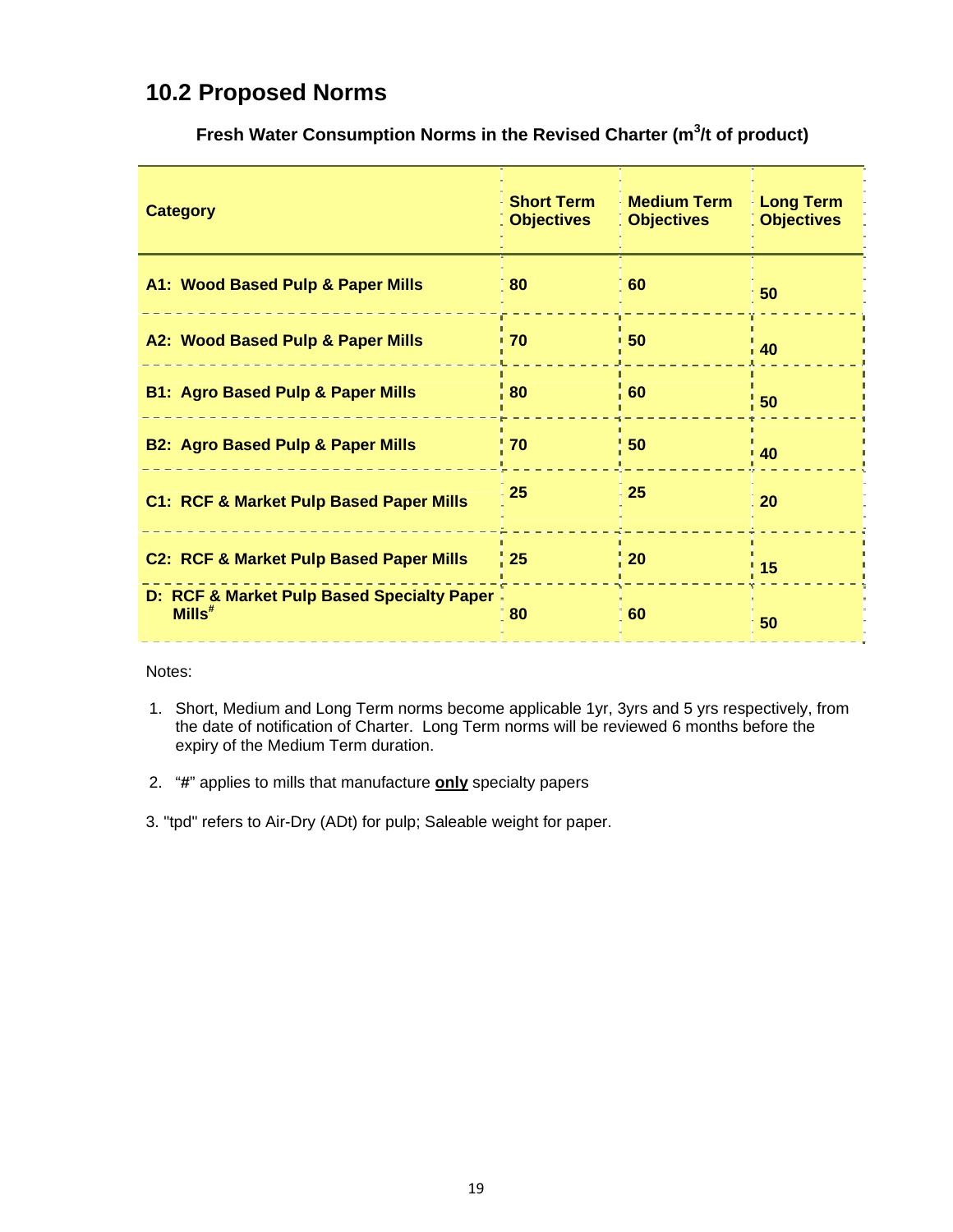### **10.2 Proposed Norms**

| <b>Category</b>                                            | <b>Short Term</b><br><b>Objectives</b> | <b>Medium Term</b><br><b>Objectives</b> | <b>Long Term</b><br><b>Objectives</b> |
|------------------------------------------------------------|----------------------------------------|-----------------------------------------|---------------------------------------|
| A1: Wood Based Pulp & Paper Mills                          | 80                                     | 60                                      | 50                                    |
| A2: Wood Based Pulp & Paper Mills                          | 70                                     | 50                                      | 40                                    |
| <b>B1: Agro Based Pulp &amp; Paper Mills</b>               | 80                                     | 60                                      | 50                                    |
| <b>B2: Agro Based Pulp &amp; Paper Mills</b>               | 70                                     | 50                                      | 40                                    |
| C1: RCF & Market Pulp Based Paper Mills                    | 25                                     | 25                                      | $\overline{20}$                       |
| <b>C2: RCF &amp; Market Pulp Based Paper Mills</b>         | 25                                     | 20                                      | 15                                    |
| D: RCF & Market Pulp Based Specialty Paper<br>$M$ ills $*$ | 80                                     | 60                                      | 50                                    |

Fresh Water Consumption Norms in the Revised Charter (m<sup>3</sup>/t of product)

Notes:

- 1. Short, Medium and Long Term norms become applicable 1yr, 3yrs and 5 yrs respectively, from the date of notification of Charter. Long Term norms will be reviewed 6 months before the expiry of the Medium Term duration.
- 2. "**#**" applies to mills that manufacture **only** specialty papers
- 3. "tpd" refers to Air-Dry (ADt) for pulp; Saleable weight for paper.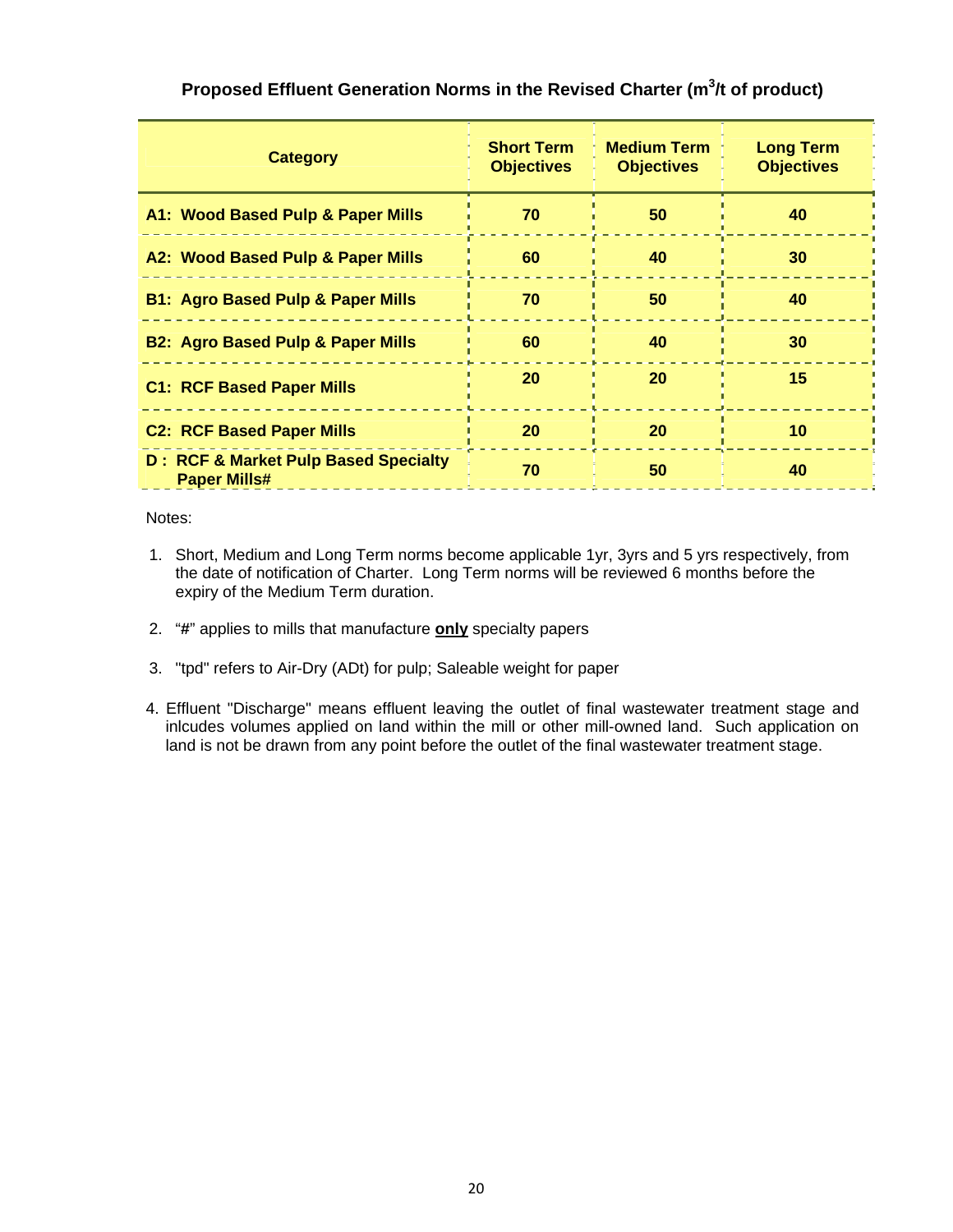| <b>Category</b>                                                        | <b>Short Term</b><br><b>Objectives</b> | <b>Medium Term</b><br><b>Objectives</b> | <b>Long Term</b><br><b>Objectives</b> |
|------------------------------------------------------------------------|----------------------------------------|-----------------------------------------|---------------------------------------|
| A1: Wood Based Pulp & Paper Mills                                      | 70                                     | 50                                      | 40                                    |
| A2: Wood Based Pulp & Paper Mills                                      | 60                                     | 40                                      | 30                                    |
| <b>B1: Agro Based Pulp &amp; Paper Mills</b>                           | 70                                     | 50                                      | 40                                    |
| <b>B2: Agro Based Pulp &amp; Paper Mills</b>                           | 60                                     | 40                                      | 30                                    |
| <b>C1: RCF Based Paper Mills</b>                                       | 20                                     | 20                                      | 15                                    |
| <b>C2: RCF Based Paper Mills</b>                                       | 20                                     | 20                                      | 10                                    |
| <b>D: RCF &amp; Market Pulp Based Specialty</b><br><b>Paper Mills#</b> | 70                                     | 50                                      | 40                                    |

#### **Proposed Effluent Generation Norms in the Revised Charter (m<sup>3</sup> /t of product)**

Notes:

- 1. Short, Medium and Long Term norms become applicable 1yr, 3yrs and 5 yrs respectively, from the date of notification of Charter. Long Term norms will be reviewed 6 months before the expiry of the Medium Term duration.
- 2. "**#**" applies to mills that manufacture **only** specialty papers
- 3. "tpd" refers to Air-Dry (ADt) for pulp; Saleable weight for paper
- 4. Effluent "Discharge" means effluent leaving the outlet of final wastewater treatment stage and inlcudes volumes applied on land within the mill or other mill-owned land. Such application on land is not be drawn from any point before the outlet of the final wastewater treatment stage.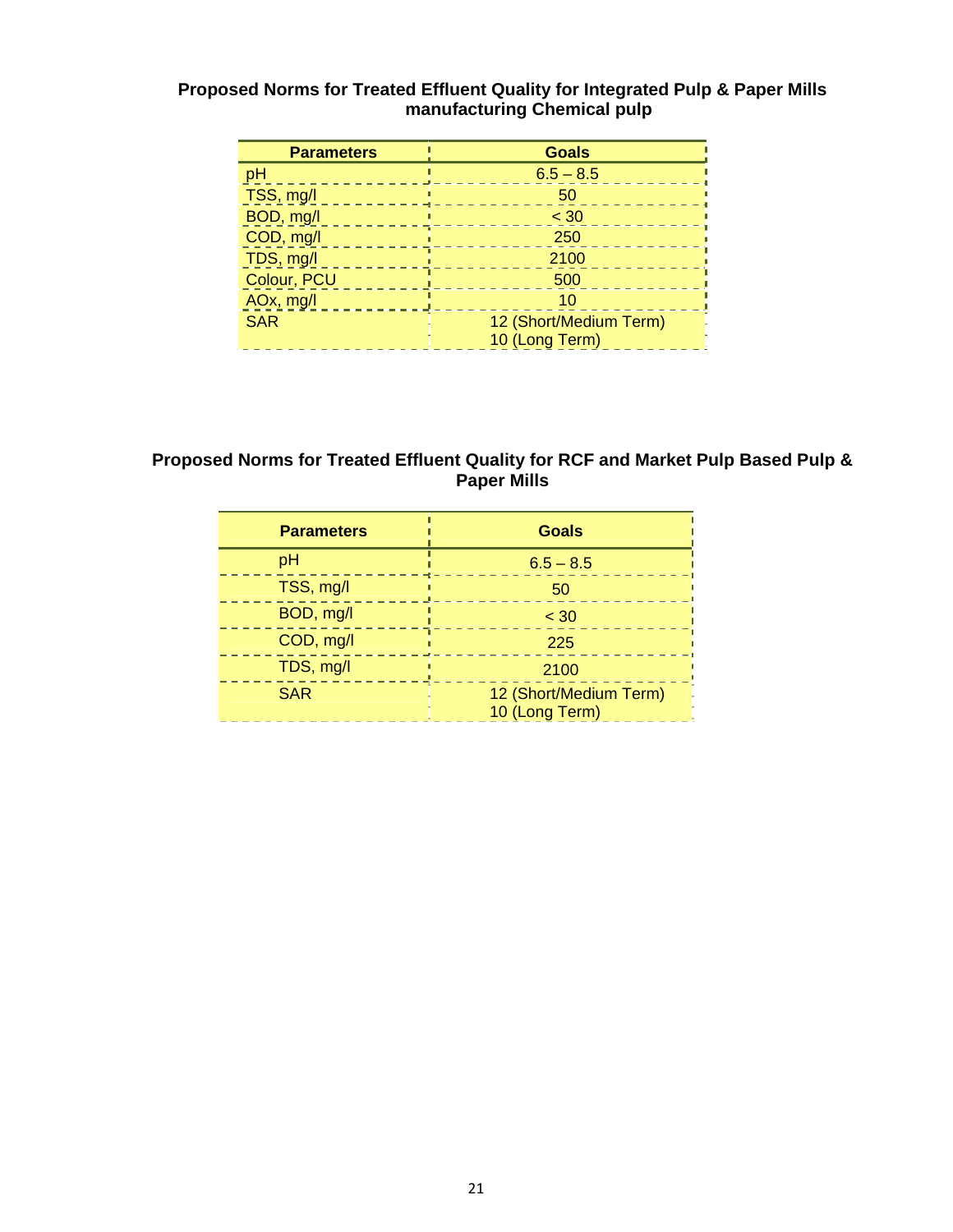#### **Proposed Norms for Treated Effluent Quality for Integrated Pulp & Paper Mills manufacturing Chemical pulp**

| <b>Parameters</b> | <b>Goals</b>           |
|-------------------|------------------------|
| пH                | $6.5 - 8.5$            |
| TSS, mg/l         | 50                     |
| BOD, mg/l         | $<$ 30                 |
| COD, mg/l         | 250                    |
| TDS, mg/l         | 2100                   |
| Colour, PCU       | 500                    |
| AOx, mg/l         | 10                     |
| <b>SAR</b>        | 12 (Short/Medium Term) |
|                   | 10 (Long Term)         |

#### **Proposed Norms for Treated Effluent Quality for RCF and Market Pulp Based Pulp & Paper Mills**

| <b>Parameters</b> | <b>Goals</b>                             |
|-------------------|------------------------------------------|
| pH                | $6.5 - 8.5$                              |
| TSS, mg/l         | 50                                       |
| BOD, mg/l         | < 30                                     |
| COD, mg/l         | 225                                      |
| TDS, mg/l         | 2100                                     |
| <b>SAR</b>        | 12 (Short/Medium Term)<br>10 (Long Term) |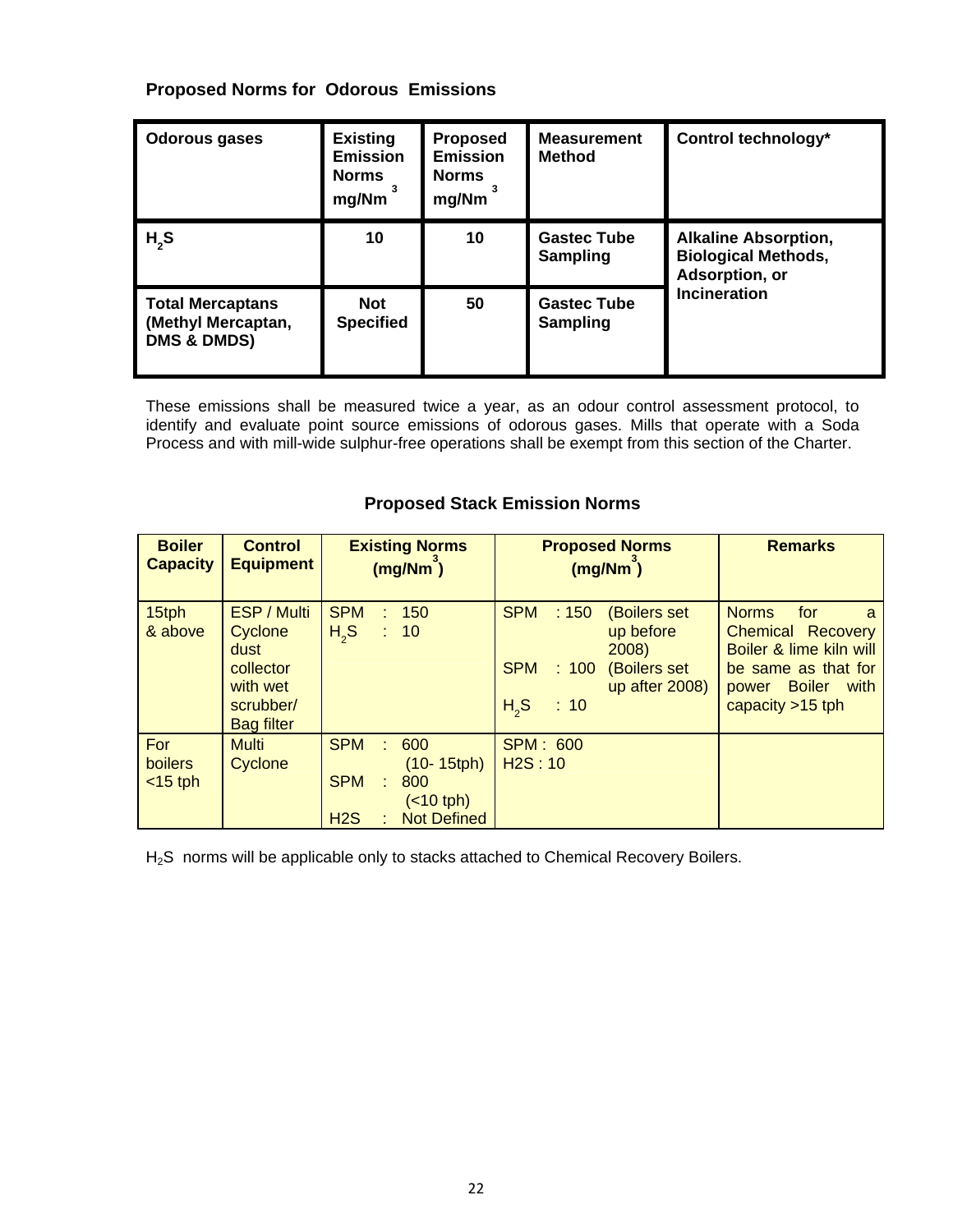#### **Proposed Norms for Odorous Emissions**

| <b>Odorous gases</b>                                                    | <b>Existing</b><br><b>Emission</b><br><b>Norms</b><br>mg/Nm | <b>Proposed</b><br><b>Emission</b><br><b>Norms</b><br>mg/Nm | <b>Measurement</b><br><b>Method</b>   | Control technology*                                                         |  |
|-------------------------------------------------------------------------|-------------------------------------------------------------|-------------------------------------------------------------|---------------------------------------|-----------------------------------------------------------------------------|--|
| $H_{2}S$                                                                | 10                                                          | 10                                                          | <b>Gastec Tube</b><br><b>Sampling</b> | <b>Alkaline Absorption,</b><br><b>Biological Methods,</b><br>Adsorption, or |  |
| <b>Total Mercaptans</b><br>(Methyl Mercaptan,<br><b>DMS &amp; DMDS)</b> | <b>Not</b><br><b>Specified</b>                              | 50                                                          | <b>Gastec Tube</b><br><b>Sampling</b> | <b>Incineration</b>                                                         |  |

These emissions shall be measured twice a year, as an odour control assessment protocol, to identify and evaluate point source emissions of odorous gases. Mills that operate with a Soda Process and with mill-wide sulphur-free operations shall be exempt from this section of the Charter.

| <b>Boiler</b><br><b>Capacity</b>    | <b>Control</b><br><b>Equipment</b>                                                               | <b>Existing Norms</b><br>(mg/Nm)                                                                                                         | <b>Proposed Norms</b><br>(mg/Nm)                                                                                                             | <b>Remarks</b>                                                                                                                                                 |
|-------------------------------------|--------------------------------------------------------------------------------------------------|------------------------------------------------------------------------------------------------------------------------------------------|----------------------------------------------------------------------------------------------------------------------------------------------|----------------------------------------------------------------------------------------------------------------------------------------------------------------|
| 15tph<br>& above                    | <b>ESP / Multi</b><br>Cyclone<br>dust<br>collector<br>with wet<br>scrubber/<br><b>Bag filter</b> | <b>SPM</b><br>150<br>H <sub>2</sub> S<br>: 10                                                                                            | <b>SPM</b><br>:150<br><b>(Boilers set</b><br>up before<br>2008)<br><b>SPM</b><br>(Boilers set<br>: 100<br>up after 2008)<br>$H_{2}S$<br>: 10 | <b>Norms</b><br>for<br>a<br><b>Chemical Recovery</b><br>Boiler & lime kiln will<br>be same as that for<br><b>Boiler</b><br>with<br>power<br>capacity $>15$ tph |
| For<br><b>boilers</b><br>$<$ 15 tph | <b>Multi</b><br>Cyclone                                                                          | <b>SPM</b><br>600<br>۳<br>$(10 - 15$ tph $)$<br><b>SPM</b><br>800<br>$\overline{\phantom{a}}$<br>$(10$ tph)<br><b>Not Defined</b><br>H2S | <b>SPM: 600</b><br>H2S:10                                                                                                                    |                                                                                                                                                                |

#### **Proposed Stack Emission Norms**

H2S norms will be applicable only to stacks attached to Chemical Recovery Boilers.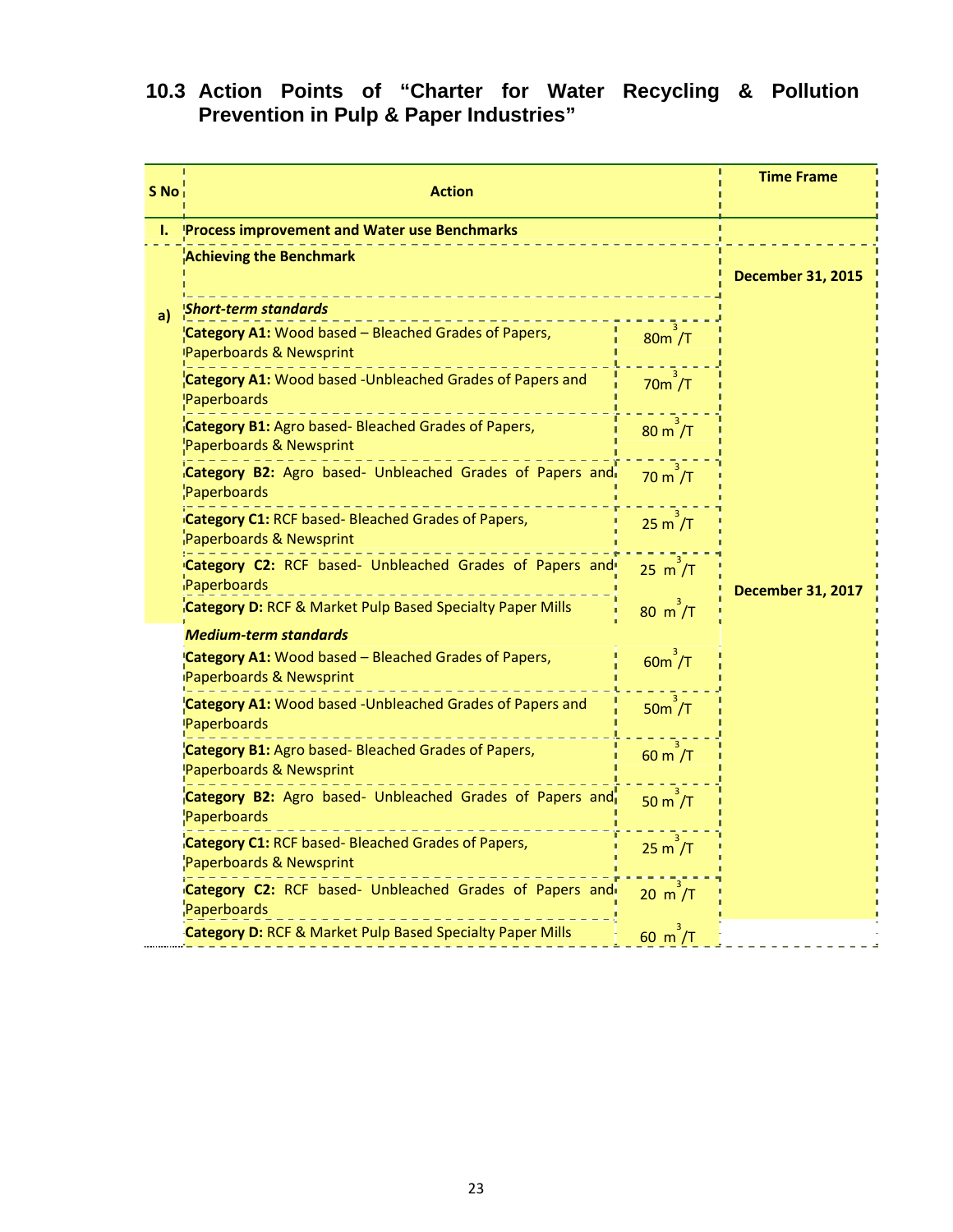#### **10.3 Action Points of "Charter for Water Recycling & Pollution Prevention in Pulp & Paper Industries"**

| S No | <b>Action</b>                                                                                         |                           | <b>Time Frame</b>        |
|------|-------------------------------------------------------------------------------------------------------|---------------------------|--------------------------|
| Ι.   | <b>Process improvement and Water use Benchmarks</b>                                                   |                           |                          |
|      | <b>Achieving the Benchmark</b>                                                                        |                           | <b>December 31, 2015</b> |
| a)   | <b>Short-term standards</b>                                                                           |                           |                          |
|      | Category A1: Wood based - Bleached Grades of Papers,<br>Paperboards & Newsprint                       | 80m /T                    |                          |
|      | <b>Category A1:</b> Wood based -Unbleached Grades of Papers and<br>Paperboards                        | $70m$ /T                  |                          |
|      | Category B1: Agro based- Bleached Grades of Papers,<br>Paperboards & Newsprint                        | $80 \text{ m}/T$          |                          |
|      | Category B2: Agro based- Unbleached Grades of Papers and<br>Paperboards                               | $70 \text{ m}$ /T         |                          |
|      | Category C1: RCF based- Bleached Grades of Papers,<br>Paperboards & Newsprint                         | 25 m / T                  |                          |
|      | Category C2: RCF based- Unbleached Grades of Papers and<br>iPaperboards                               | $25 \text{ m}^3/\text{T}$ | <b>December 31, 2017</b> |
|      | <b>Category D: RCF &amp; Market Pulp Based Specialty Paper Mills</b>                                  | 80 m/T                    |                          |
|      | <b>Medium-term standards</b>                                                                          |                           |                          |
|      | Category A1: Wood based - Bleached Grades of Papers,<br>Paperboards & Newsprint                       | $60m^3/T$                 |                          |
|      | Category A1: Wood based -Unbleached Grades of Papers and<br>Paperboards                               | $50m$ /T                  |                          |
|      | Category B1: Agro based- Bleached Grades of Papers,<br>$60 \text{ m}^7$ /T<br>Paperboards & Newsprint |                           |                          |
|      | Category B2: Agro based- Unbleached Grades of Papers and<br>Paperboards                               | 50 m / T                  |                          |
|      | Category C1: RCF based- Bleached Grades of Papers,<br>Paperboards & Newsprint                         | 25 m / T                  |                          |
|      | Category C2: RCF based- Unbleached Grades of Papers and<br>Paperboards                                | $20 \text{ m}^7$ /T       |                          |
|      | <b>Category D: RCF &amp; Market Pulp Based Specialty Paper Mills</b>                                  | $60 \text{ m}^7$ /T       |                          |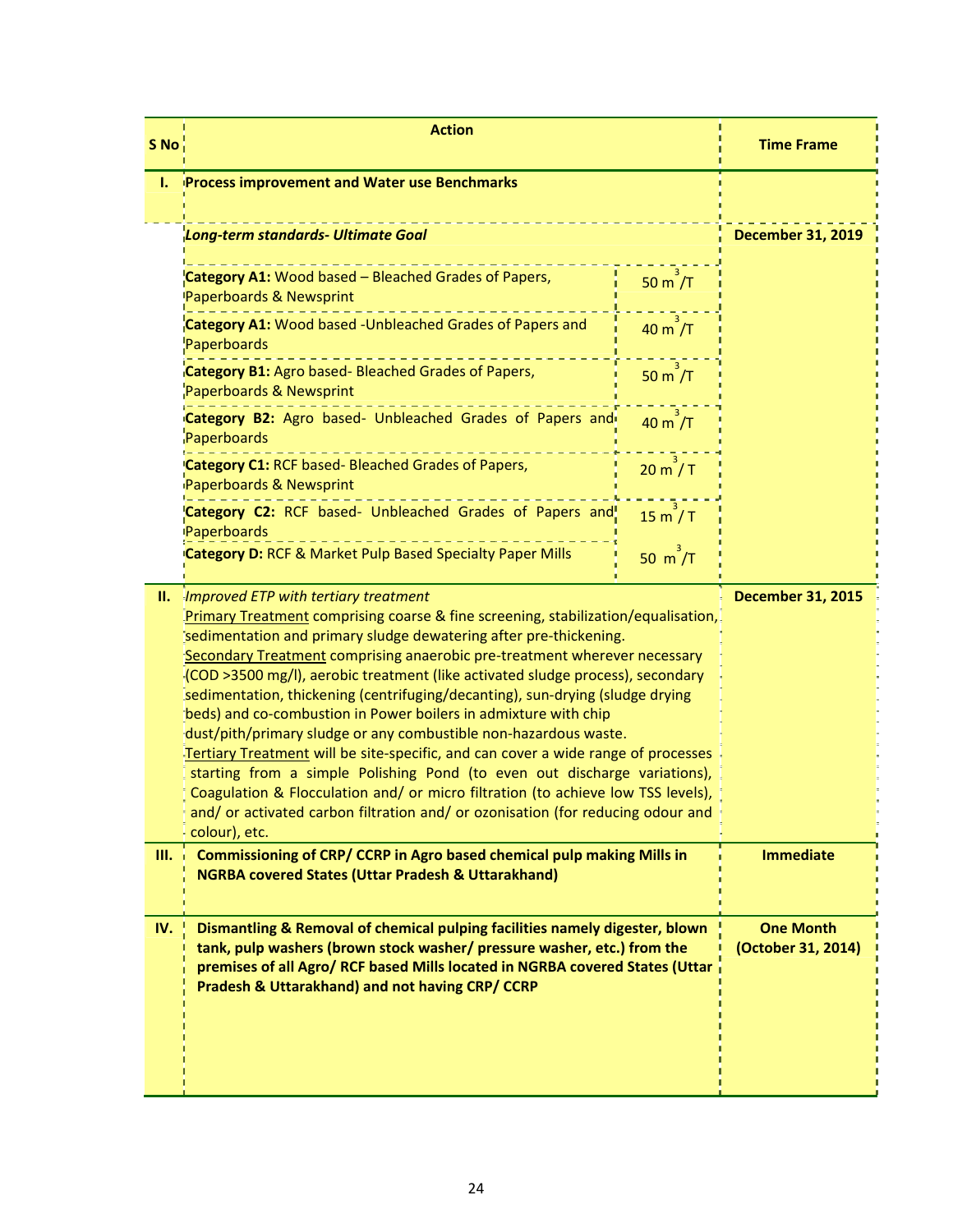| S No | <b>Action</b>                                                                                                                                                                                                                                                                                                                                                                                                                                                                                                                                                                                                                                                                                                                                                                                                                                                                                                                                                               | <b>Time Frame</b>         |                                        |
|------|-----------------------------------------------------------------------------------------------------------------------------------------------------------------------------------------------------------------------------------------------------------------------------------------------------------------------------------------------------------------------------------------------------------------------------------------------------------------------------------------------------------------------------------------------------------------------------------------------------------------------------------------------------------------------------------------------------------------------------------------------------------------------------------------------------------------------------------------------------------------------------------------------------------------------------------------------------------------------------|---------------------------|----------------------------------------|
| L.   | <b>Process improvement and Water use Benchmarks</b>                                                                                                                                                                                                                                                                                                                                                                                                                                                                                                                                                                                                                                                                                                                                                                                                                                                                                                                         |                           |                                        |
|      | Long-term standards- Ultimate Goal                                                                                                                                                                                                                                                                                                                                                                                                                                                                                                                                                                                                                                                                                                                                                                                                                                                                                                                                          |                           | <b>December 31, 2019</b>               |
|      | Category A1: Wood based - Bleached Grades of Papers,<br>Paperboards & Newsprint                                                                                                                                                                                                                                                                                                                                                                                                                                                                                                                                                                                                                                                                                                                                                                                                                                                                                             | $50 \text{ m}^2/\text{T}$ |                                        |
|      | <b>Category A1:</b> Wood based -Unbleached Grades of Papers and<br>Paperboards                                                                                                                                                                                                                                                                                                                                                                                                                                                                                                                                                                                                                                                                                                                                                                                                                                                                                              | $40 \text{ m}$ /T         |                                        |
|      | Category B1: Agro based- Bleached Grades of Papers,<br>Paperboards & Newsprint                                                                                                                                                                                                                                                                                                                                                                                                                                                                                                                                                                                                                                                                                                                                                                                                                                                                                              | $50 m$ /T                 |                                        |
|      | Category B2: Agro based- Unbleached Grades of Papers and<br>Paperboards                                                                                                                                                                                                                                                                                                                                                                                                                                                                                                                                                                                                                                                                                                                                                                                                                                                                                                     | $40 \text{ m}^2/\text{T}$ |                                        |
|      | Category C1: RCF based- Bleached Grades of Papers,<br>Paperboards & Newsprint                                                                                                                                                                                                                                                                                                                                                                                                                                                                                                                                                                                                                                                                                                                                                                                                                                                                                               | 20 m / T                  |                                        |
|      | Category C2: RCF based- Unbleached Grades of Papers and!<br>Paperboards                                                                                                                                                                                                                                                                                                                                                                                                                                                                                                                                                                                                                                                                                                                                                                                                                                                                                                     | 15 m / T                  |                                        |
|      | <b>Category D: RCF &amp; Market Pulp Based Specialty Paper Mills</b>                                                                                                                                                                                                                                                                                                                                                                                                                                                                                                                                                                                                                                                                                                                                                                                                                                                                                                        | 50 $m^2/T$                |                                        |
| н.   | Improved ETP with tertiary treatment<br><b>December 31, 2015</b><br>Primary Treatment comprising coarse & fine screening, stabilization/equalisation,<br>sedimentation and primary sludge dewatering after pre-thickening.<br>Secondary Treatment comprising anaerobic pre-treatment wherever necessary<br>(COD >3500 mg/l), aerobic treatment (like activated sludge process), secondary<br>sedimentation, thickening (centrifuging/decanting), sun-drying (sludge drying<br>beds) and co-combustion in Power boilers in admixture with chip<br>dust/pith/primary sludge or any combustible non-hazardous waste.<br>Tertiary Treatment will be site-specific, and can cover a wide range of processes<br>starting from a simple Polishing Pond (to even out discharge variations),<br>Coagulation & Flocculation and/ or micro filtration (to achieve low TSS levels),<br>and/ or activated carbon filtration and/ or ozonisation (for reducing odour and<br>colour), etc. |                           |                                        |
| III. | Commissioning of CRP/ CCRP in Agro based chemical pulp making Mills in<br><b>NGRBA covered States (Uttar Pradesh &amp; Uttarakhand)</b>                                                                                                                                                                                                                                                                                                                                                                                                                                                                                                                                                                                                                                                                                                                                                                                                                                     |                           | <b>Immediate</b>                       |
| IV.  | Dismantling & Removal of chemical pulping facilities namely digester, blown<br>tank, pulp washers (brown stock washer/ pressure washer, etc.) from the<br>premises of all Agro/ RCF based Mills located in NGRBA covered States (Uttar<br>Pradesh & Uttarakhand) and not having CRP/ CCRP                                                                                                                                                                                                                                                                                                                                                                                                                                                                                                                                                                                                                                                                                   |                           | <b>One Month</b><br>(October 31, 2014) |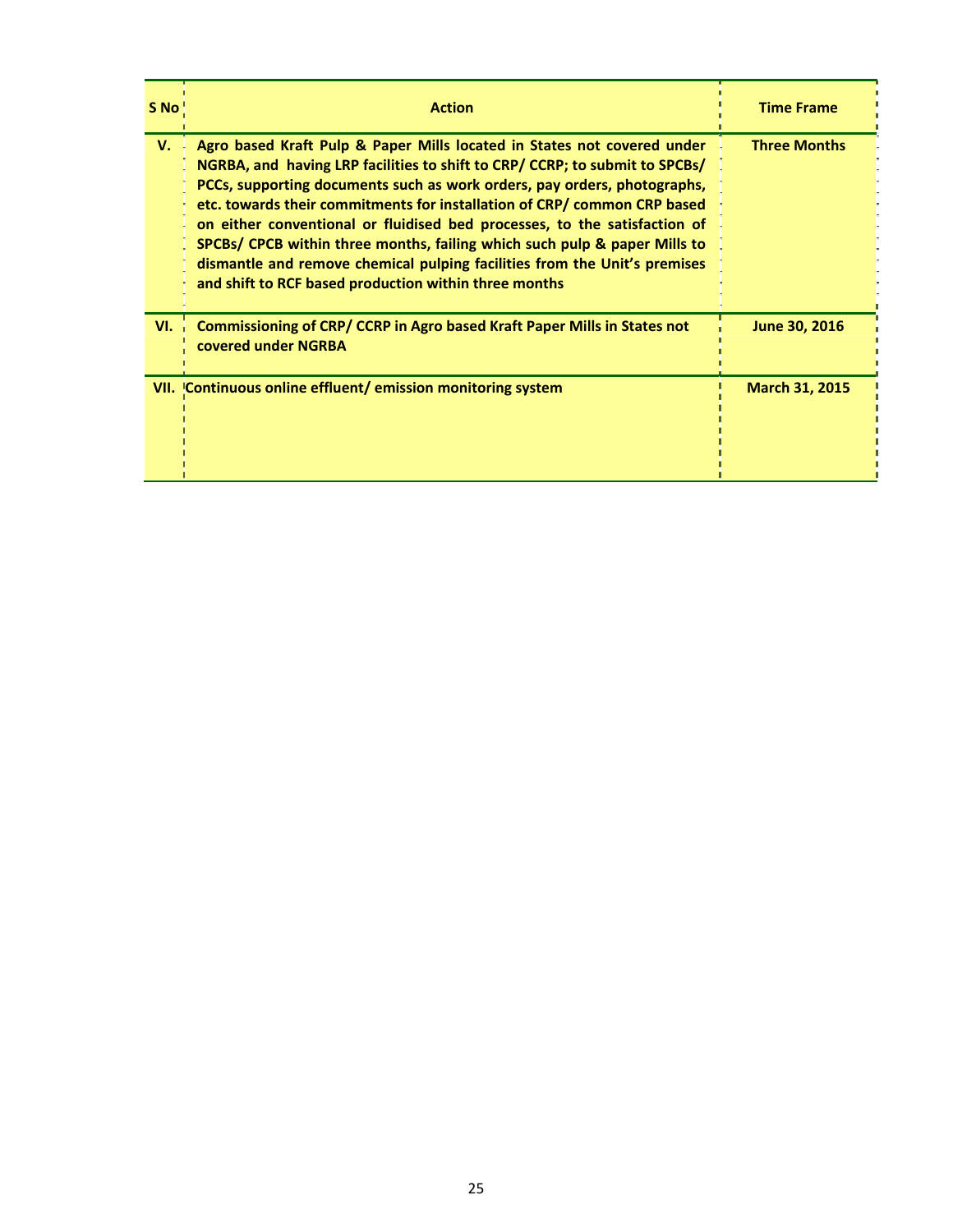| S No | <b>Action</b>                                                                                                                                                                                                                                                                                                                                                                                                                                                                                                                                                                                                  | <b>Time Frame</b>     |
|------|----------------------------------------------------------------------------------------------------------------------------------------------------------------------------------------------------------------------------------------------------------------------------------------------------------------------------------------------------------------------------------------------------------------------------------------------------------------------------------------------------------------------------------------------------------------------------------------------------------------|-----------------------|
| V.   | Agro based Kraft Pulp & Paper Mills located in States not covered under<br>NGRBA, and having LRP facilities to shift to CRP/ CCRP; to submit to SPCBs/<br>PCCs, supporting documents such as work orders, pay orders, photographs,<br>etc. towards their commitments for installation of CRP/ common CRP based<br>on either conventional or fluidised bed processes, to the satisfaction of<br>SPCBs/ CPCB within three months, failing which such pulp & paper Mills to<br>dismantle and remove chemical pulping facilities from the Unit's premises<br>and shift to RCF based production within three months | <b>Three Months</b>   |
| VI.  | Commissioning of CRP/ CCRP in Agro based Kraft Paper Mills in States not<br>covered under NGRBA                                                                                                                                                                                                                                                                                                                                                                                                                                                                                                                | June 30, 2016         |
|      | VII. Continuous online effluent/emission monitoring system                                                                                                                                                                                                                                                                                                                                                                                                                                                                                                                                                     | <b>March 31, 2015</b> |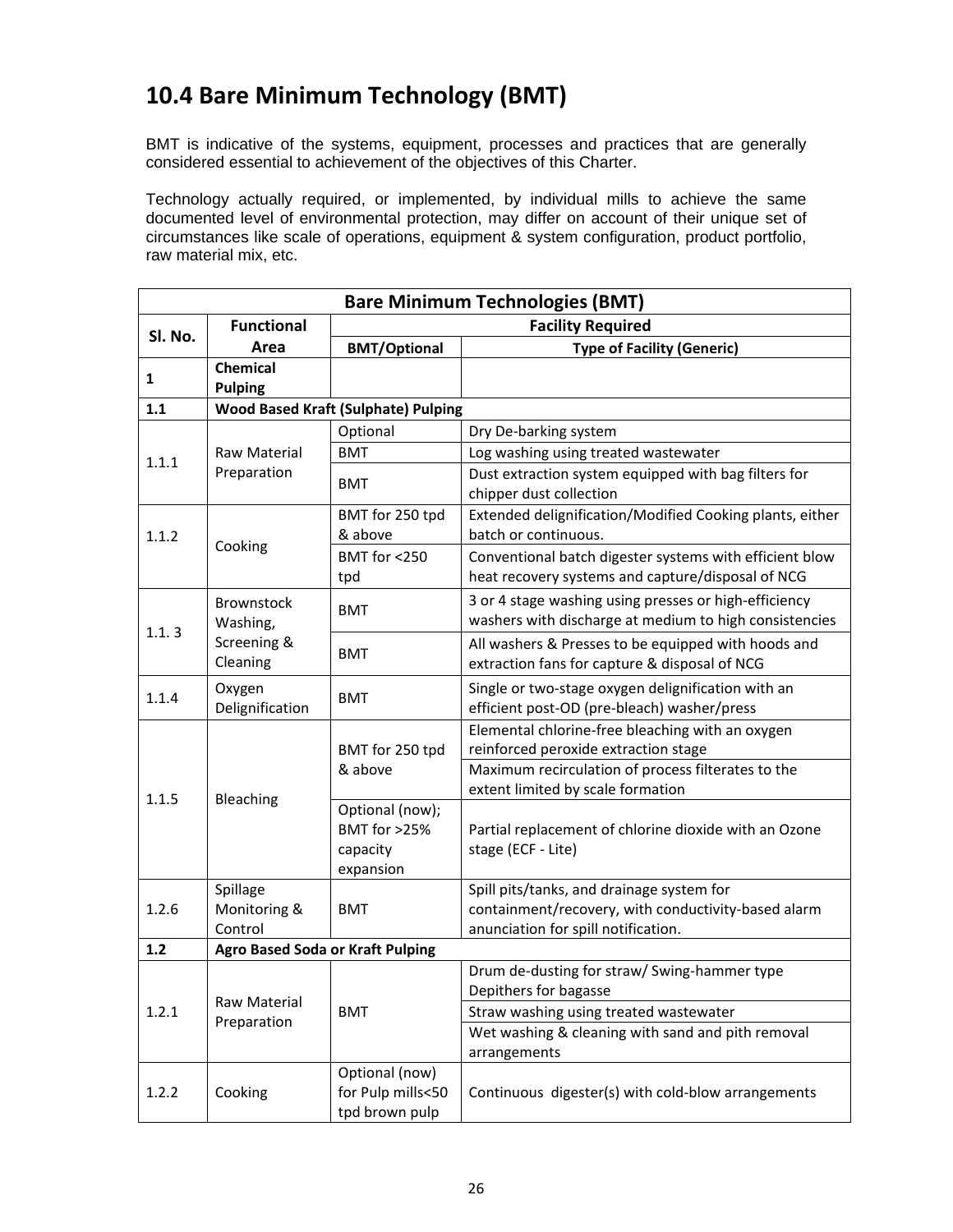### **10.4 Bare Minimum Technology (BMT)**

BMT is indicative of the systems, equipment, processes and practices that are generally considered essential to achievement of the objectives of this Charter.

Technology actually required, or implemented, by individual mills to achieve the same documented level of environmental protection, may differ on account of their unique set of circumstances like scale of operations, equipment & system configuration, product portfolio, raw material mix, etc.

| <b>Bare Minimum Technologies (BMT)</b> |                                         |                                                          |                                                                                                                                         |  |  |
|----------------------------------------|-----------------------------------------|----------------------------------------------------------|-----------------------------------------------------------------------------------------------------------------------------------------|--|--|
| SI. No.                                | <b>Functional</b>                       | <b>Facility Required</b>                                 |                                                                                                                                         |  |  |
|                                        | Area                                    | <b>BMT/Optional</b>                                      | <b>Type of Facility (Generic)</b>                                                                                                       |  |  |
| 1                                      | <b>Chemical</b><br><b>Pulping</b>       |                                                          |                                                                                                                                         |  |  |
| 1.1                                    |                                         | <b>Wood Based Kraft (Sulphate) Pulping</b>               |                                                                                                                                         |  |  |
|                                        |                                         | Optional                                                 | Dry De-barking system                                                                                                                   |  |  |
| 1.1.1                                  | <b>BMT</b><br><b>Raw Material</b>       |                                                          | Log washing using treated wastewater                                                                                                    |  |  |
|                                        | Preparation                             | <b>BMT</b>                                               | Dust extraction system equipped with bag filters for<br>chipper dust collection                                                         |  |  |
| 1.1.2                                  |                                         | BMT for 250 tpd<br>& above                               | Extended delignification/Modified Cooking plants, either<br>batch or continuous.                                                        |  |  |
|                                        | Cooking                                 | BMT for <250<br>tpd                                      | Conventional batch digester systems with efficient blow<br>heat recovery systems and capture/disposal of NCG                            |  |  |
| 1.1.3                                  | <b>Brownstock</b><br>Washing,           | <b>BMT</b>                                               | 3 or 4 stage washing using presses or high-efficiency<br>washers with discharge at medium to high consistencies                         |  |  |
|                                        | Screening &<br>Cleaning                 | <b>BMT</b>                                               | All washers & Presses to be equipped with hoods and<br>extraction fans for capture & disposal of NCG                                    |  |  |
| 1.1.4                                  | Oxygen<br>Delignification               | <b>BMT</b>                                               | Single or two-stage oxygen delignification with an<br>efficient post-OD (pre-bleach) washer/press                                       |  |  |
|                                        | Bleaching                               | BMT for 250 tpd<br>& above                               | Elemental chlorine-free bleaching with an oxygen<br>reinforced peroxide extraction stage                                                |  |  |
| 1.1.5                                  |                                         |                                                          | Maximum recirculation of process filterates to the<br>extent limited by scale formation                                                 |  |  |
|                                        |                                         | Optional (now);<br>BMT for >25%<br>capacity<br>expansion | Partial replacement of chlorine dioxide with an Ozone<br>stage (ECF - Lite)                                                             |  |  |
| 1.2.6                                  | Spillage<br>Monitoring &<br>Control     | <b>BMT</b>                                               | Spill pits/tanks, and drainage system for<br>containment/recovery, with conductivity-based alarm<br>anunciation for spill notification. |  |  |
| 1.2                                    | <b>Agro Based Soda or Kraft Pulping</b> |                                                          |                                                                                                                                         |  |  |
|                                        | Raw Material                            |                                                          | Drum de-dusting for straw/ Swing-hammer type<br>Depithers for bagasse                                                                   |  |  |
| 1.2.1                                  | Preparation                             | <b>BMT</b>                                               | Straw washing using treated wastewater                                                                                                  |  |  |
|                                        |                                         |                                                          | Wet washing & cleaning with sand and pith removal<br>arrangements                                                                       |  |  |
| 1.2.2                                  | Cooking                                 | Optional (now)<br>for Pulp mills<50<br>tpd brown pulp    | Continuous digester(s) with cold-blow arrangements                                                                                      |  |  |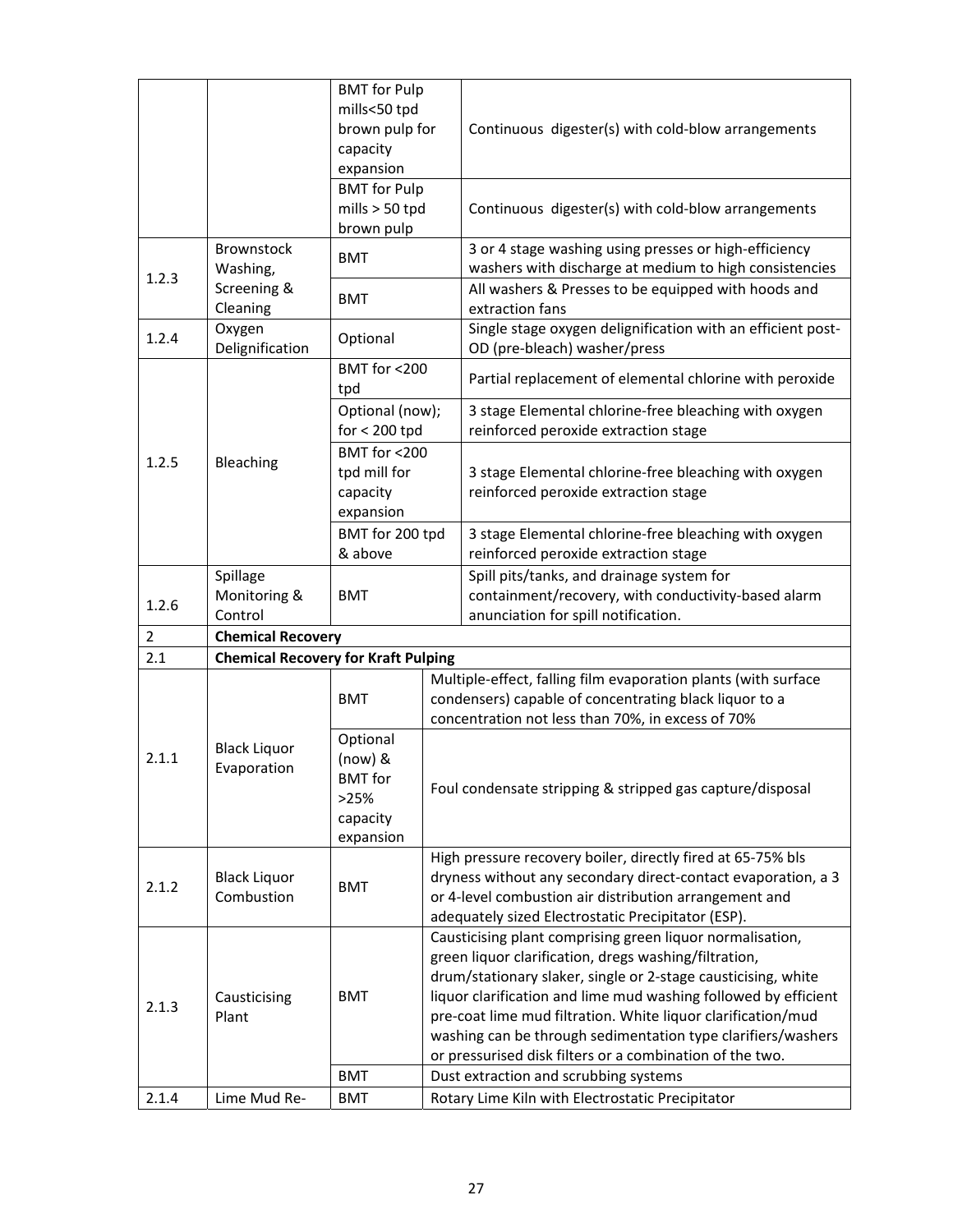|                    |                                            | <b>BMT</b> for Pulp<br>mills<50 tpd<br>brown pulp for<br>capacity<br>expansion |                                                                                                                                                                                                                                                                                                                                                                                                                                                    | Continuous digester(s) with cold-blow arrangements                                                                                                                            |  |
|--------------------|--------------------------------------------|--------------------------------------------------------------------------------|----------------------------------------------------------------------------------------------------------------------------------------------------------------------------------------------------------------------------------------------------------------------------------------------------------------------------------------------------------------------------------------------------------------------------------------------------|-------------------------------------------------------------------------------------------------------------------------------------------------------------------------------|--|
|                    |                                            | <b>BMT</b> for Pulp<br>mills $> 50$ tpd<br>brown pulp                          |                                                                                                                                                                                                                                                                                                                                                                                                                                                    | Continuous digester(s) with cold-blow arrangements                                                                                                                            |  |
| 1.2.3              | Brownstock<br>Washing,                     | <b>BMT</b>                                                                     |                                                                                                                                                                                                                                                                                                                                                                                                                                                    | 3 or 4 stage washing using presses or high-efficiency<br>washers with discharge at medium to high consistencies                                                               |  |
|                    | Screening &<br>Cleaning                    | <b>BMT</b>                                                                     |                                                                                                                                                                                                                                                                                                                                                                                                                                                    | All washers & Presses to be equipped with hoods and<br>extraction fans                                                                                                        |  |
| 1.2.4              | Oxygen<br>Delignification                  | Optional                                                                       |                                                                                                                                                                                                                                                                                                                                                                                                                                                    | Single stage oxygen delignification with an efficient post-<br>OD (pre-bleach) washer/press                                                                                   |  |
|                    |                                            | BMT for <200<br>tpd                                                            |                                                                                                                                                                                                                                                                                                                                                                                                                                                    | Partial replacement of elemental chlorine with peroxide                                                                                                                       |  |
|                    |                                            | Optional (now);<br>$for < 200$ tpd                                             |                                                                                                                                                                                                                                                                                                                                                                                                                                                    | 3 stage Elemental chlorine-free bleaching with oxygen<br>reinforced peroxide extraction stage                                                                                 |  |
| 1.2.5<br>Bleaching |                                            | BMT for <200<br>tpd mill for<br>capacity<br>expansion                          |                                                                                                                                                                                                                                                                                                                                                                                                                                                    | 3 stage Elemental chlorine-free bleaching with oxygen<br>reinforced peroxide extraction stage                                                                                 |  |
|                    |                                            | BMT for 200 tpd<br>& above                                                     |                                                                                                                                                                                                                                                                                                                                                                                                                                                    | 3 stage Elemental chlorine-free bleaching with oxygen<br>reinforced peroxide extraction stage                                                                                 |  |
| 1.2.6              | Spillage<br>Monitoring &<br>Control        | <b>BMT</b>                                                                     |                                                                                                                                                                                                                                                                                                                                                                                                                                                    | Spill pits/tanks, and drainage system for<br>containment/recovery, with conductivity-based alarm<br>anunciation for spill notification.                                       |  |
| $\overline{2}$     | <b>Chemical Recovery</b>                   |                                                                                |                                                                                                                                                                                                                                                                                                                                                                                                                                                    |                                                                                                                                                                               |  |
| 2.1                | <b>Chemical Recovery for Kraft Pulping</b> |                                                                                |                                                                                                                                                                                                                                                                                                                                                                                                                                                    |                                                                                                                                                                               |  |
|                    |                                            | <b>BMT</b>                                                                     |                                                                                                                                                                                                                                                                                                                                                                                                                                                    | Multiple-effect, falling film evaporation plants (with surface<br>condensers) capable of concentrating black liquor to a<br>concentration not less than 70%, in excess of 70% |  |
| 2.1.1              | <b>Black Liquor</b><br>Evaporation         | Optional<br>$(now)$ &<br><b>BMT</b> for<br>>25%<br>capacity<br>expansion       | Foul condensate stripping & stripped gas capture/disposal                                                                                                                                                                                                                                                                                                                                                                                          |                                                                                                                                                                               |  |
| 2.1.2              | <b>Black Liquor</b><br>Combustion          | <b>BMT</b>                                                                     | High pressure recovery boiler, directly fired at 65-75% bls<br>dryness without any secondary direct-contact evaporation, a 3<br>or 4-level combustion air distribution arrangement and<br>adequately sized Electrostatic Precipitator (ESP).                                                                                                                                                                                                       |                                                                                                                                                                               |  |
| 2.1.3              | Causticising<br>Plant                      | <b>BMT</b>                                                                     | Causticising plant comprising green liquor normalisation,<br>green liquor clarification, dregs washing/filtration,<br>drum/stationary slaker, single or 2-stage causticising, white<br>liquor clarification and lime mud washing followed by efficient<br>pre-coat lime mud filtration. White liquor clarification/mud<br>washing can be through sedimentation type clarifiers/washers<br>or pressurised disk filters or a combination of the two. |                                                                                                                                                                               |  |
|                    |                                            | <b>BMT</b>                                                                     |                                                                                                                                                                                                                                                                                                                                                                                                                                                    | Dust extraction and scrubbing systems                                                                                                                                         |  |
| 2.1.4              | Lime Mud Re-                               | <b>BMT</b>                                                                     |                                                                                                                                                                                                                                                                                                                                                                                                                                                    | Rotary Lime Kiln with Electrostatic Precipitator                                                                                                                              |  |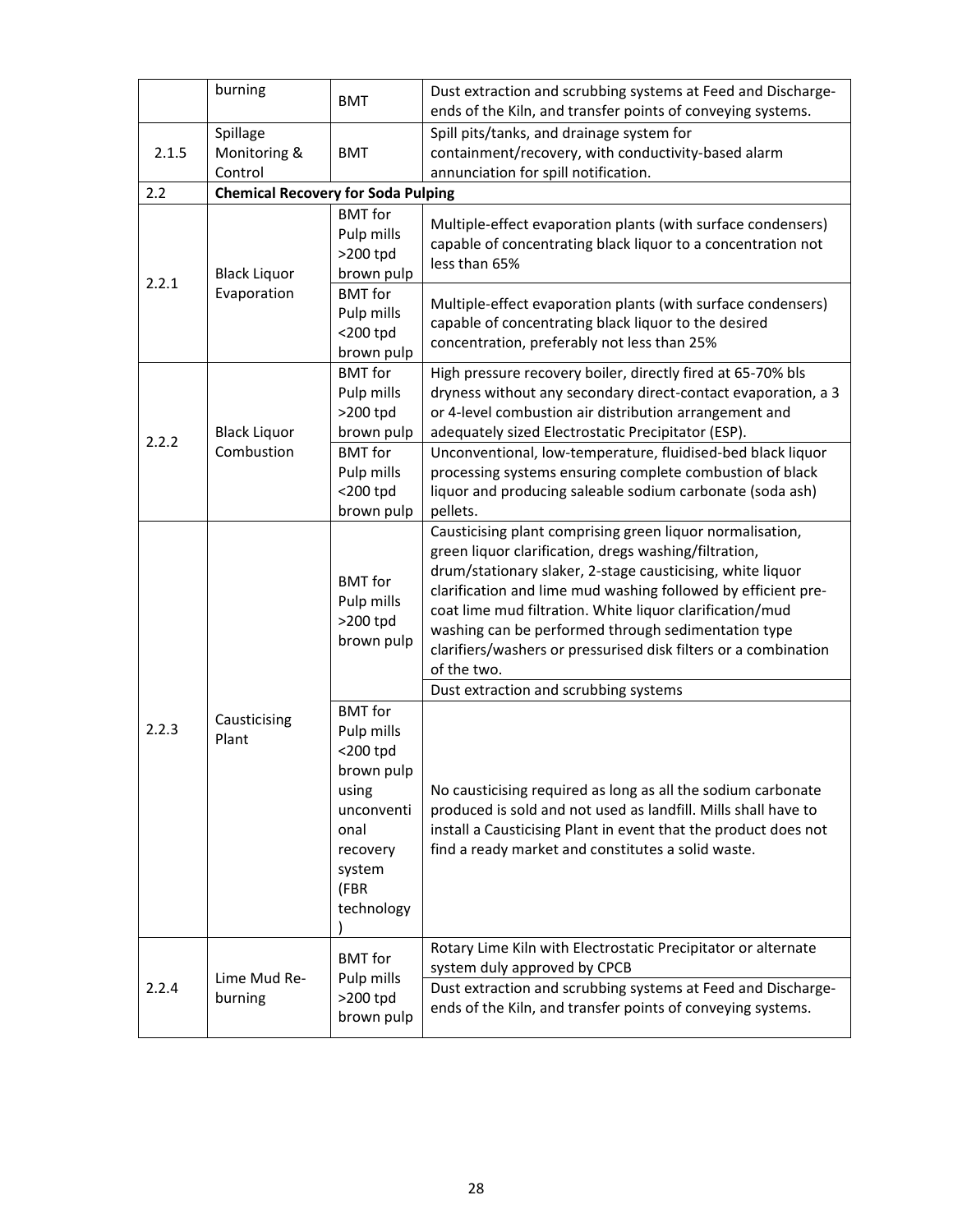|       | burning                                                                                                                                                                                                                 | <b>BMT</b>                                                                                                                                                                                                                                              | Dust extraction and scrubbing systems at Feed and Discharge-<br>ends of the Kiln, and transfer points of conveying systems.                                                                                                                                                                                                                                                                                                                                                                     |  |
|-------|-------------------------------------------------------------------------------------------------------------------------------------------------------------------------------------------------------------------------|---------------------------------------------------------------------------------------------------------------------------------------------------------------------------------------------------------------------------------------------------------|-------------------------------------------------------------------------------------------------------------------------------------------------------------------------------------------------------------------------------------------------------------------------------------------------------------------------------------------------------------------------------------------------------------------------------------------------------------------------------------------------|--|
| 2.1.5 | Spillage<br>Monitoring &<br>Control                                                                                                                                                                                     | <b>BMT</b>                                                                                                                                                                                                                                              | Spill pits/tanks, and drainage system for<br>containment/recovery, with conductivity-based alarm<br>annunciation for spill notification.                                                                                                                                                                                                                                                                                                                                                        |  |
| 2.2   | <b>Chemical Recovery for Soda Pulping</b>                                                                                                                                                                               |                                                                                                                                                                                                                                                         |                                                                                                                                                                                                                                                                                                                                                                                                                                                                                                 |  |
| 2.2.1 | <b>Black Liquor</b><br>Evaporation                                                                                                                                                                                      | <b>BMT</b> for<br>Pulp mills<br>>200 tpd<br>brown pulp<br><b>BMT</b> for<br>Pulp mills                                                                                                                                                                  | Multiple-effect evaporation plants (with surface condensers)<br>capable of concentrating black liquor to a concentration not<br>less than 65%<br>Multiple-effect evaporation plants (with surface condensers)<br>capable of concentrating black liquor to the desired                                                                                                                                                                                                                           |  |
|       |                                                                                                                                                                                                                         | $<$ 200 tpd                                                                                                                                                                                                                                             | concentration, preferably not less than 25%                                                                                                                                                                                                                                                                                                                                                                                                                                                     |  |
| 2.2.2 | <b>Black Liquor</b><br>Combustion                                                                                                                                                                                       | brown pulp<br><b>BMT</b> for<br>Pulp mills<br>>200 tpd<br>brown pulp<br><b>BMT</b> for<br>Pulp mills<br>$<$ 200 tpd<br>brown pulp                                                                                                                       | High pressure recovery boiler, directly fired at 65-70% bls<br>dryness without any secondary direct-contact evaporation, a 3<br>or 4-level combustion air distribution arrangement and<br>adequately sized Electrostatic Precipitator (ESP).<br>Unconventional, low-temperature, fluidised-bed black liquor<br>processing systems ensuring complete combustion of black<br>liquor and producing saleable sodium carbonate (soda ash)<br>pellets.                                                |  |
| 2.2.3 | <b>BMT</b> for<br>Pulp mills<br>>200 tpd<br>brown pulp<br><b>BMT</b> for<br>Causticising<br>Pulp mills<br>Plant<br>$<$ 200 tpd<br>brown pulp<br>using<br>unconventi<br>onal<br>recovery<br>system<br>(FBR<br>technology |                                                                                                                                                                                                                                                         | Causticising plant comprising green liquor normalisation,<br>green liquor clarification, dregs washing/filtration,<br>drum/stationary slaker, 2-stage causticising, white liquor<br>clarification and lime mud washing followed by efficient pre-<br>coat lime mud filtration. White liquor clarification/mud<br>washing can be performed through sedimentation type<br>clarifiers/washers or pressurised disk filters or a combination<br>of the two.<br>Dust extraction and scrubbing systems |  |
|       |                                                                                                                                                                                                                         | No causticising required as long as all the sodium carbonate<br>produced is sold and not used as landfill. Mills shall have to<br>install a Causticising Plant in event that the product does not<br>find a ready market and constitutes a solid waste. |                                                                                                                                                                                                                                                                                                                                                                                                                                                                                                 |  |
| 2.2.4 | Lime Mud Re-<br>burning                                                                                                                                                                                                 | <b>BMT</b> for<br>Pulp mills<br>>200 tpd<br>brown pulp                                                                                                                                                                                                  | Rotary Lime Kiln with Electrostatic Precipitator or alternate<br>system duly approved by CPCB<br>Dust extraction and scrubbing systems at Feed and Discharge-<br>ends of the Kiln, and transfer points of conveying systems.                                                                                                                                                                                                                                                                    |  |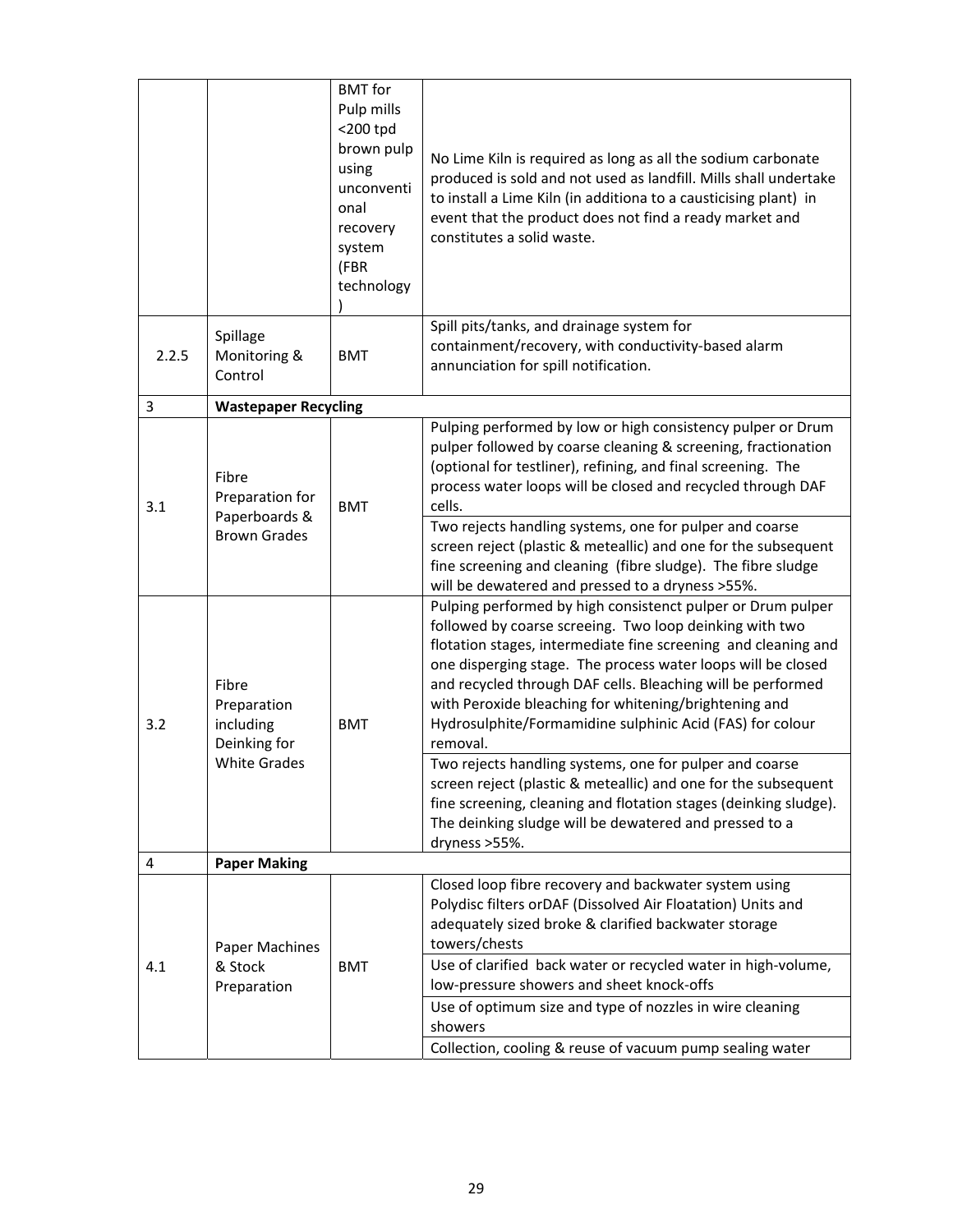|       |                                                                          | <b>BMT</b> for<br>Pulp mills<br>$<$ 200 tpd<br>brown pulp<br>using<br>unconventi<br>onal<br>recovery<br>system<br>(FBR<br>technology | No Lime Kiln is required as long as all the sodium carbonate<br>produced is sold and not used as landfill. Mills shall undertake<br>to install a Lime Kiln (in additiona to a causticising plant) in<br>event that the product does not find a ready market and<br>constitutes a solid waste.                                                                                                                                                             |
|-------|--------------------------------------------------------------------------|--------------------------------------------------------------------------------------------------------------------------------------|-----------------------------------------------------------------------------------------------------------------------------------------------------------------------------------------------------------------------------------------------------------------------------------------------------------------------------------------------------------------------------------------------------------------------------------------------------------|
| 2.2.5 | Spillage<br>Monitoring &<br>Control                                      | <b>BMT</b>                                                                                                                           | Spill pits/tanks, and drainage system for<br>containment/recovery, with conductivity-based alarm<br>annunciation for spill notification.                                                                                                                                                                                                                                                                                                                  |
| 3     | <b>Wastepaper Recycling</b>                                              |                                                                                                                                      |                                                                                                                                                                                                                                                                                                                                                                                                                                                           |
| 3.1   | Fibre<br>Preparation for<br>Paperboards &<br><b>Brown Grades</b>         | <b>BMT</b>                                                                                                                           | Pulping performed by low or high consistency pulper or Drum<br>pulper followed by coarse cleaning & screening, fractionation<br>(optional for testliner), refining, and final screening. The<br>process water loops will be closed and recycled through DAF<br>cells.                                                                                                                                                                                     |
|       |                                                                          |                                                                                                                                      | Two rejects handling systems, one for pulper and coarse<br>screen reject (plastic & meteallic) and one for the subsequent<br>fine screening and cleaning (fibre sludge). The fibre sludge<br>will be dewatered and pressed to a dryness >55%.                                                                                                                                                                                                             |
| 3.2   | Fibre<br>Preparation<br>including<br>Deinking for<br><b>White Grades</b> | <b>BMT</b>                                                                                                                           | Pulping performed by high consistenct pulper or Drum pulper<br>followed by coarse screeing. Two loop deinking with two<br>flotation stages, intermediate fine screening and cleaning and<br>one disperging stage. The process water loops will be closed<br>and recycled through DAF cells. Bleaching will be performed<br>with Peroxide bleaching for whitening/brightening and<br>Hydrosulphite/Formamidine sulphinic Acid (FAS) for colour<br>removal. |
|       |                                                                          |                                                                                                                                      | Two rejects handling systems, one for pulper and coarse<br>screen reject (plastic & meteallic) and one for the subsequent<br>fine screening, cleaning and flotation stages (deinking sludge).<br>The deinking sludge will be dewatered and pressed to a<br>dryness >55%.                                                                                                                                                                                  |
| 4     | <b>Paper Making</b>                                                      |                                                                                                                                      |                                                                                                                                                                                                                                                                                                                                                                                                                                                           |
| 4.1   | Paper Machines<br>& Stock<br>Preparation                                 | <b>BMT</b>                                                                                                                           | Closed loop fibre recovery and backwater system using<br>Polydisc filters orDAF (Dissolved Air Floatation) Units and<br>adequately sized broke & clarified backwater storage<br>towers/chests<br>Use of clarified back water or recycled water in high-volume,<br>low-pressure showers and sheet knock-offs                                                                                                                                               |
|       |                                                                          |                                                                                                                                      | Use of optimum size and type of nozzles in wire cleaning<br>showers<br>Collection, cooling & reuse of vacuum pump sealing water                                                                                                                                                                                                                                                                                                                           |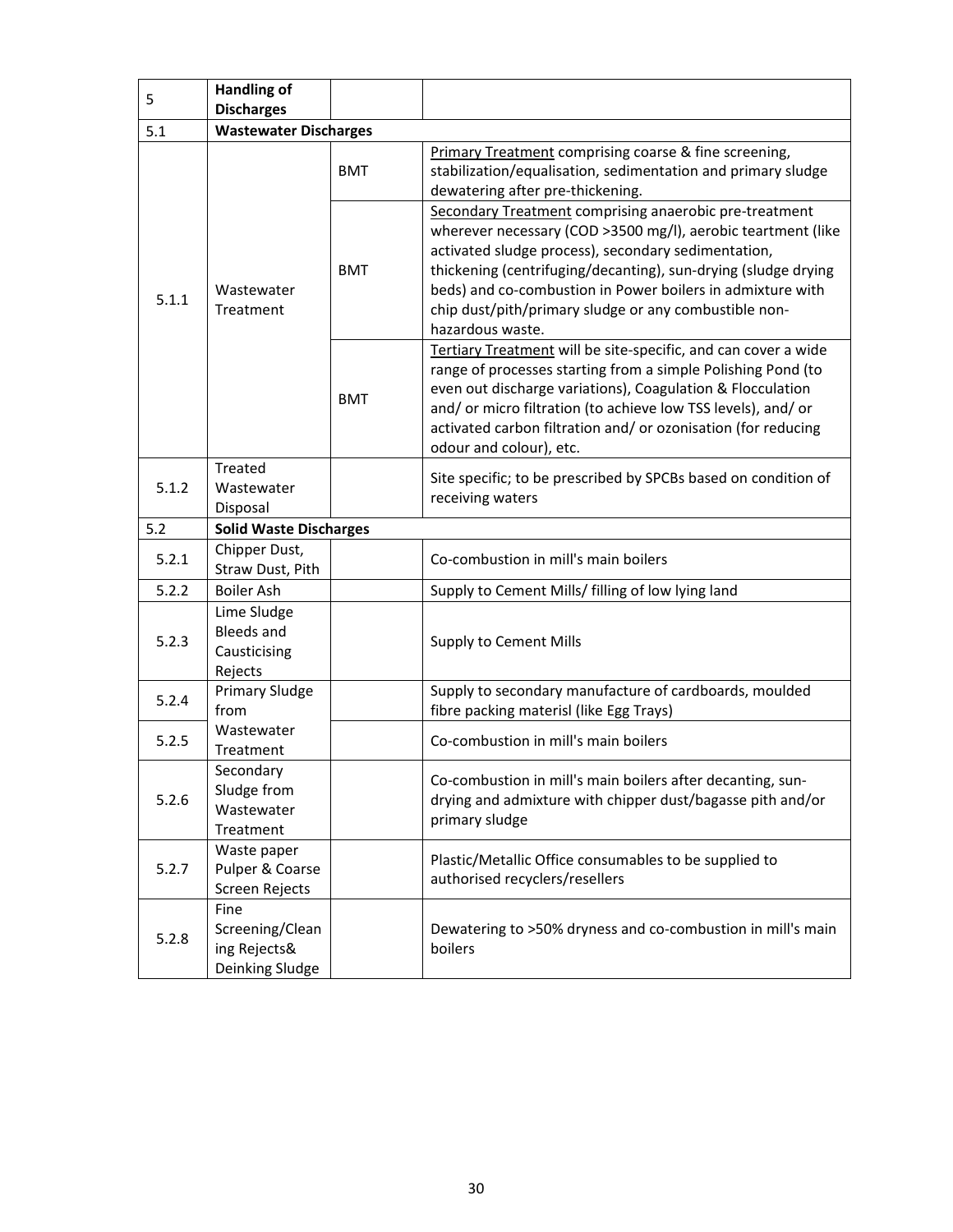| 5     | <b>Handling of</b>                                          |            |                                                                                                                                                                                                                                                                                                                                                                                            |
|-------|-------------------------------------------------------------|------------|--------------------------------------------------------------------------------------------------------------------------------------------------------------------------------------------------------------------------------------------------------------------------------------------------------------------------------------------------------------------------------------------|
| 5.1   | <b>Discharges</b><br><b>Wastewater Discharges</b>           |            |                                                                                                                                                                                                                                                                                                                                                                                            |
|       |                                                             |            | Primary Treatment comprising coarse & fine screening,                                                                                                                                                                                                                                                                                                                                      |
| 5.1.1 | Wastewater<br>Treatment                                     | <b>BMT</b> | stabilization/equalisation, sedimentation and primary sludge<br>dewatering after pre-thickening.                                                                                                                                                                                                                                                                                           |
|       |                                                             | <b>BMT</b> | Secondary Treatment comprising anaerobic pre-treatment<br>wherever necessary (COD >3500 mg/l), aerobic teartment (like<br>activated sludge process), secondary sedimentation,<br>thickening (centrifuging/decanting), sun-drying (sludge drying<br>beds) and co-combustion in Power boilers in admixture with<br>chip dust/pith/primary sludge or any combustible non-<br>hazardous waste. |
|       |                                                             | <b>BMT</b> | Tertiary Treatment will be site-specific, and can cover a wide<br>range of processes starting from a simple Polishing Pond (to<br>even out discharge variations), Coagulation & Flocculation<br>and/ or micro filtration (to achieve low TSS levels), and/ or<br>activated carbon filtration and/ or ozonisation (for reducing<br>odour and colour), etc.                                  |
|       | <b>Treated</b>                                              |            | Site specific; to be prescribed by SPCBs based on condition of                                                                                                                                                                                                                                                                                                                             |
| 5.1.2 | Wastewater                                                  |            | receiving waters                                                                                                                                                                                                                                                                                                                                                                           |
|       | Disposal                                                    |            |                                                                                                                                                                                                                                                                                                                                                                                            |
| 5.2   | <b>Solid Waste Discharges</b>                               |            |                                                                                                                                                                                                                                                                                                                                                                                            |
| 5.2.1 | Chipper Dust,<br>Straw Dust, Pith                           |            | Co-combustion in mill's main boilers                                                                                                                                                                                                                                                                                                                                                       |
| 5.2.2 | <b>Boiler Ash</b>                                           |            | Supply to Cement Mills/ filling of low lying land                                                                                                                                                                                                                                                                                                                                          |
| 5.2.3 | Lime Sludge<br><b>Bleeds and</b><br>Causticising<br>Rejects |            | Supply to Cement Mills                                                                                                                                                                                                                                                                                                                                                                     |
| 5.2.4 | <b>Primary Sludge</b><br>from                               |            | Supply to secondary manufacture of cardboards, moulded<br>fibre packing materisl (like Egg Trays)                                                                                                                                                                                                                                                                                          |
| 5.2.5 | Wastewater<br>Treatment                                     |            | Co-combustion in mill's main boilers                                                                                                                                                                                                                                                                                                                                                       |
| 5.2.6 | Secondary<br>Sludge from<br>Wastewater<br>Treatment         |            | Co-combustion in mill's main boilers after decanting, sun-<br>drying and admixture with chipper dust/bagasse pith and/or<br>primary sludge                                                                                                                                                                                                                                                 |
| 5.2.7 | Waste paper<br>Pulper & Coarse<br>Screen Rejects            |            | Plastic/Metallic Office consumables to be supplied to<br>authorised recyclers/resellers                                                                                                                                                                                                                                                                                                    |
| 5.2.8 | Fine<br>Screening/Clean<br>ing Rejects&<br>Deinking Sludge  |            | Dewatering to >50% dryness and co-combustion in mill's main<br>boilers                                                                                                                                                                                                                                                                                                                     |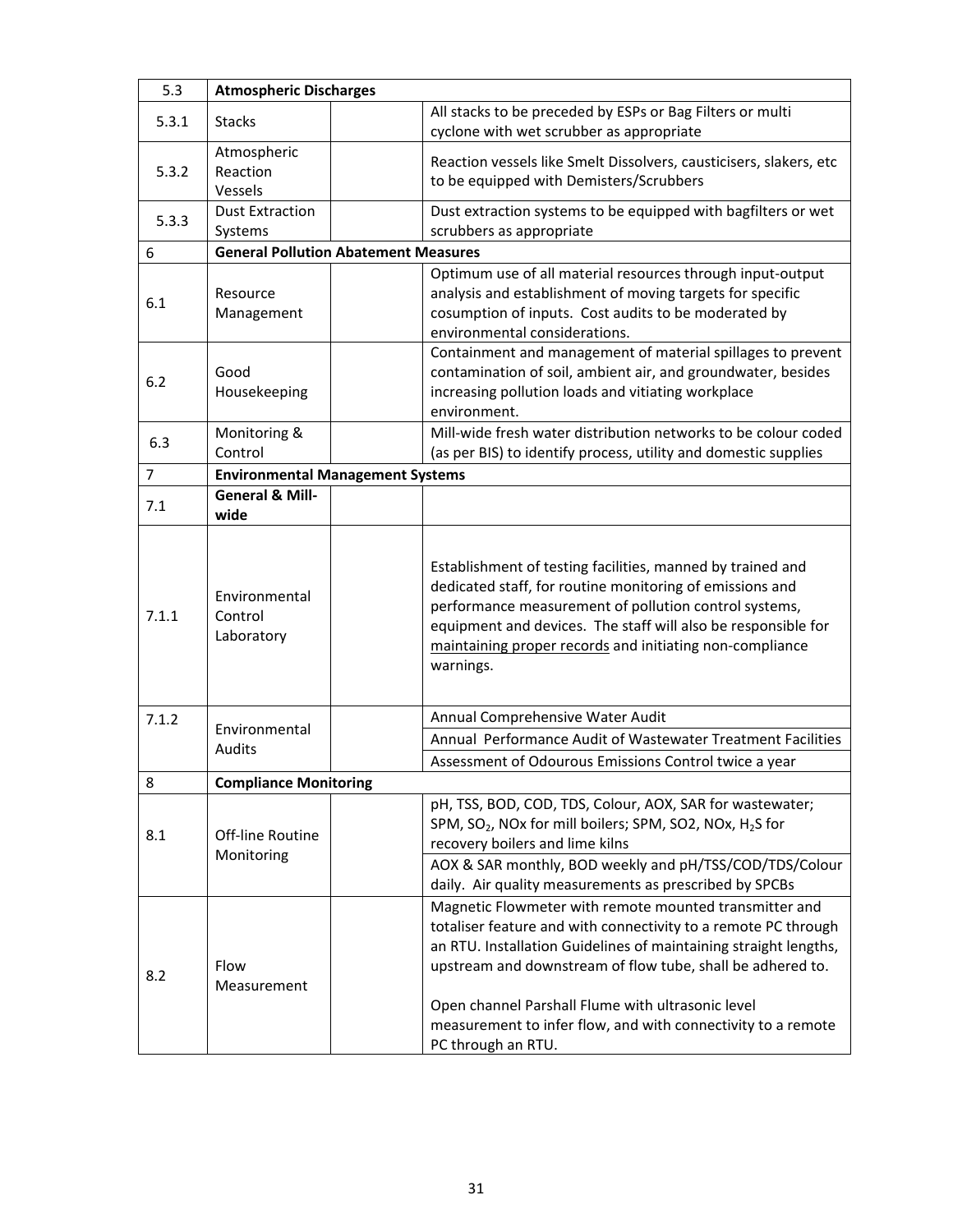| 5.3            | <b>Atmospheric Discharges</b>               |                                                                                                                                                                                                                                                                                                                                                                                                       |  |
|----------------|---------------------------------------------|-------------------------------------------------------------------------------------------------------------------------------------------------------------------------------------------------------------------------------------------------------------------------------------------------------------------------------------------------------------------------------------------------------|--|
| 5.3.1          | <b>Stacks</b>                               | All stacks to be preceded by ESPs or Bag Filters or multi<br>cyclone with wet scrubber as appropriate                                                                                                                                                                                                                                                                                                 |  |
| 5.3.2          | Atmospheric<br>Reaction<br>Vessels          | Reaction vessels like Smelt Dissolvers, causticisers, slakers, etc<br>to be equipped with Demisters/Scrubbers                                                                                                                                                                                                                                                                                         |  |
| 5.3.3          | <b>Dust Extraction</b><br>Systems           | Dust extraction systems to be equipped with bagfilters or wet<br>scrubbers as appropriate                                                                                                                                                                                                                                                                                                             |  |
| 6              | <b>General Pollution Abatement Measures</b> |                                                                                                                                                                                                                                                                                                                                                                                                       |  |
| 6.1            | Resource<br>Management                      | Optimum use of all material resources through input-output<br>analysis and establishment of moving targets for specific<br>cosumption of inputs. Cost audits to be moderated by<br>environmental considerations.                                                                                                                                                                                      |  |
| 6.2            | Good<br>Housekeeping                        | Containment and management of material spillages to prevent<br>contamination of soil, ambient air, and groundwater, besides<br>increasing pollution loads and vitiating workplace<br>environment.                                                                                                                                                                                                     |  |
| 6.3            | Monitoring &<br>Control                     | Mill-wide fresh water distribution networks to be colour coded<br>(as per BIS) to identify process, utility and domestic supplies                                                                                                                                                                                                                                                                     |  |
| $\overline{7}$ | <b>Environmental Management Systems</b>     |                                                                                                                                                                                                                                                                                                                                                                                                       |  |
| 7.1            | <b>General &amp; Mill-</b><br>wide          |                                                                                                                                                                                                                                                                                                                                                                                                       |  |
| 7.1.1          | Environmental<br>Control<br>Laboratory      | Establishment of testing facilities, manned by trained and<br>dedicated staff, for routine monitoring of emissions and<br>performance measurement of pollution control systems,<br>equipment and devices. The staff will also be responsible for<br>maintaining proper records and initiating non-compliance<br>warnings.                                                                             |  |
| 7.1.2          |                                             | Annual Comprehensive Water Audit                                                                                                                                                                                                                                                                                                                                                                      |  |
|                | Environmental<br>Audits                     | Annual Performance Audit of Wastewater Treatment Facilities<br>Assessment of Odourous Emissions Control twice a year                                                                                                                                                                                                                                                                                  |  |
| 8              | <b>Compliance Monitoring</b>                |                                                                                                                                                                                                                                                                                                                                                                                                       |  |
| 8.1            | Off-line Routine<br>Monitoring              | pH, TSS, BOD, COD, TDS, Colour, AOX, SAR for wastewater;<br>SPM, SO <sub>2</sub> , NOx for mill boilers; SPM, SO2, NOx, H <sub>2</sub> S for<br>recovery boilers and lime kilns<br>AOX & SAR monthly, BOD weekly and pH/TSS/COD/TDS/Colour<br>daily. Air quality measurements as prescribed by SPCBs                                                                                                  |  |
| 8.2            | Flow<br>Measurement                         | Magnetic Flowmeter with remote mounted transmitter and<br>totaliser feature and with connectivity to a remote PC through<br>an RTU. Installation Guidelines of maintaining straight lengths,<br>upstream and downstream of flow tube, shall be adhered to.<br>Open channel Parshall Flume with ultrasonic level<br>measurement to infer flow, and with connectivity to a remote<br>PC through an RTU. |  |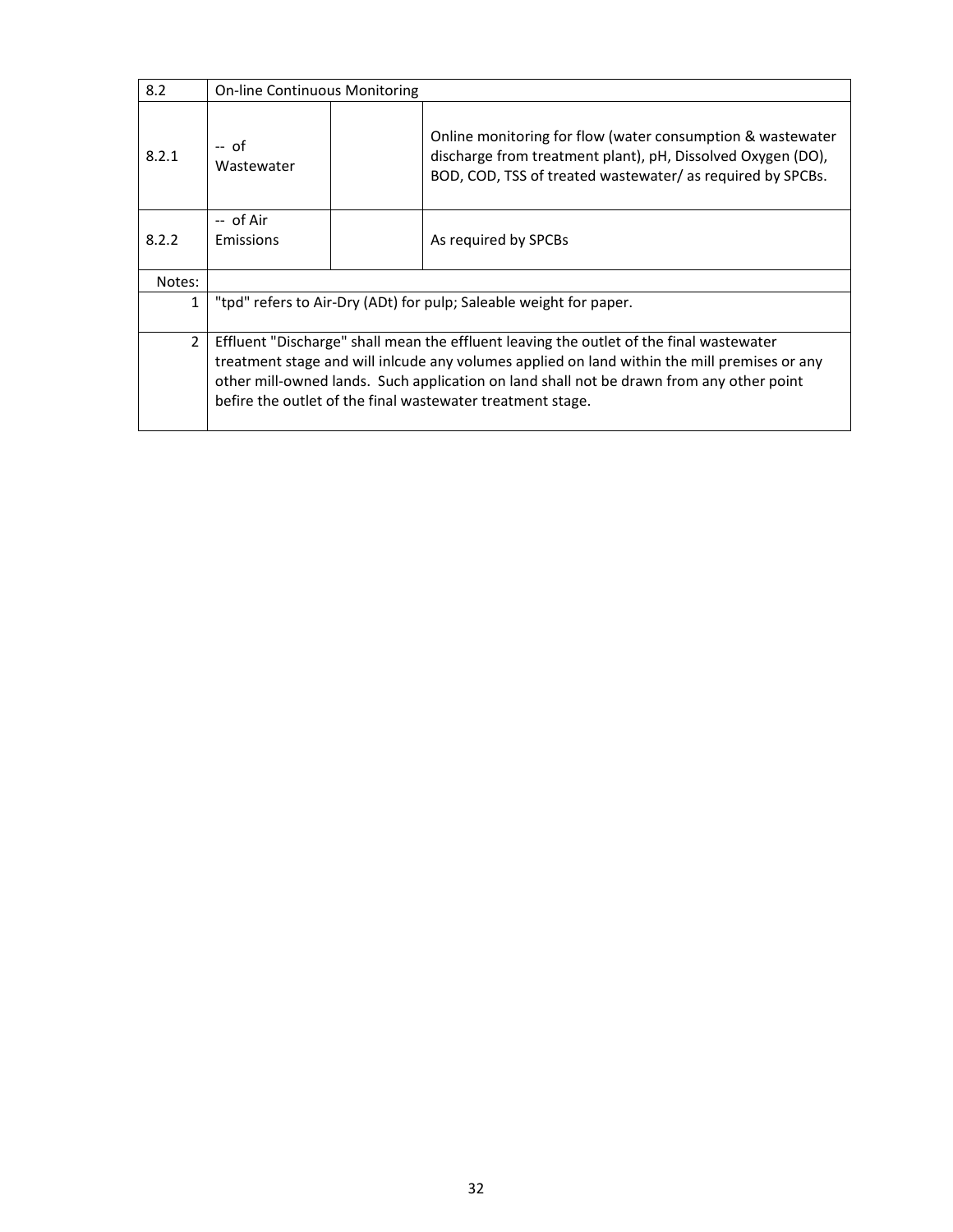| 8.2            | <b>On-line Continuous Monitoring</b>                                                                                                                                                                                                                                                                                                              |  |                                                                                                                                                                                        |
|----------------|---------------------------------------------------------------------------------------------------------------------------------------------------------------------------------------------------------------------------------------------------------------------------------------------------------------------------------------------------|--|----------------------------------------------------------------------------------------------------------------------------------------------------------------------------------------|
| 8.2.1          | $-$ of<br>Wastewater                                                                                                                                                                                                                                                                                                                              |  | Online monitoring for flow (water consumption & wastewater<br>discharge from treatment plant), pH, Dissolved Oxygen (DO),<br>BOD, COD, TSS of treated wastewater/as required by SPCBs. |
| 8.2.2          | -- of Air<br>Emissions                                                                                                                                                                                                                                                                                                                            |  | As required by SPCBs                                                                                                                                                                   |
| Notes:         |                                                                                                                                                                                                                                                                                                                                                   |  |                                                                                                                                                                                        |
| $\mathbf{1}$   | "tpd" refers to Air-Dry (ADt) for pulp; Saleable weight for paper.                                                                                                                                                                                                                                                                                |  |                                                                                                                                                                                        |
| $\overline{2}$ | Effluent "Discharge" shall mean the effluent leaving the outlet of the final wastewater<br>treatment stage and will inlcude any volumes applied on land within the mill premises or any<br>other mill-owned lands. Such application on land shall not be drawn from any other point<br>befire the outlet of the final wastewater treatment stage. |  |                                                                                                                                                                                        |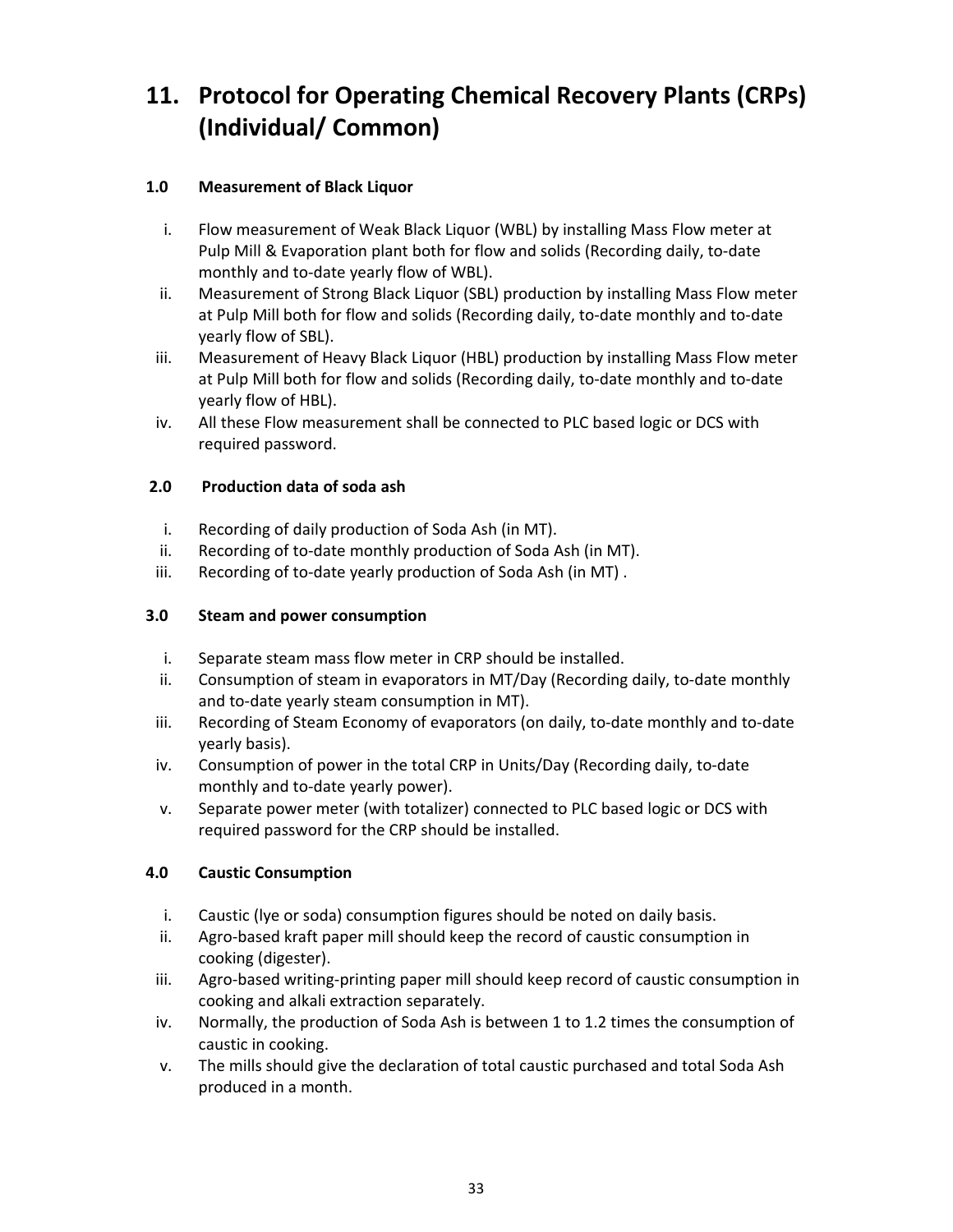# **11. Protocol for Operating Chemical Recovery Plants (CRPs) (Individual/ Common)**

#### **1.0 Measurement of Black Liquor**

- i. Flow measurement of Weak Black Liquor (WBL) by installing Mass Flow meter at Pulp Mill & Evaporation plant both for flow and solids (Recording daily, to‐date monthly and to‐date yearly flow of WBL).
- ii. Measurement of Strong Black Liquor (SBL) production by installing Mass Flow meter at Pulp Mill both for flow and solids (Recording daily, to-date monthly and to-date yearly flow of SBL).
- iii. Measurement of Heavy Black Liquor (HBL) production by installing Mass Flow meter at Pulp Mill both for flow and solids (Recording daily, to-date monthly and to-date yearly flow of HBL).
- iv. All these Flow measurement shall be connected to PLC based logic or DCS with required password.

#### **2.0 Production data of soda ash**

- i. Recording of daily production of Soda Ash (in MT).
- ii. Recording of to‐date monthly production of Soda Ash (in MT).
- iii. Recording of to-date yearly production of Soda Ash (in MT).

#### **3.0 Steam and power consumption**

- i. Separate steam mass flow meter in CRP should be installed.
- ii. Consumption of steam in evaporators in MT/Day (Recording daily, to‐date monthly and to-date yearly steam consumption in MT).
- iii. Recording of Steam Economy of evaporators (on daily, to-date monthly and to-date yearly basis).
- iv. Consumption of power in the total CRP in Units/Day (Recording daily, to‐date monthly and to‐date yearly power).
- v. Separate power meter (with totalizer) connected to PLC based logic or DCS with required password for the CRP should be installed.

#### **4.0 Caustic Consumption**

- i. Caustic (lye or soda) consumption figures should be noted on daily basis.
- ii. Agro‐based kraft paper mill should keep the record of caustic consumption in cooking (digester).
- iii. Agro-based writing-printing paper mill should keep record of caustic consumption in cooking and alkali extraction separately.
- iv. Normally, the production of Soda Ash is between 1 to 1.2 times the consumption of caustic in cooking.
- v. The mills should give the declaration of total caustic purchased and total Soda Ash produced in a month.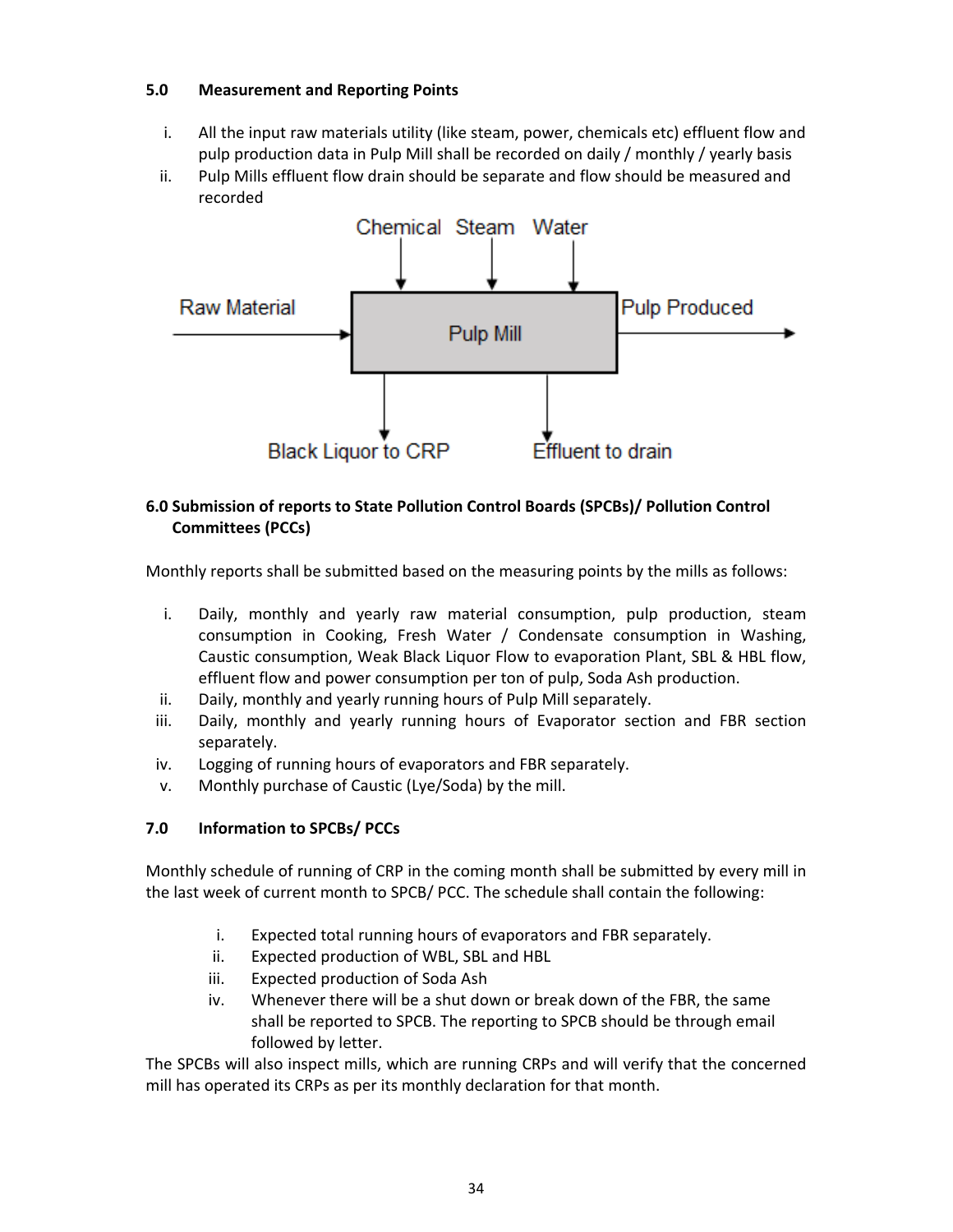#### **5.0 Measurement and Reporting Points**

- i. All the input raw materials utility (like steam, power, chemicals etc) effluent flow and pulp production data in Pulp Mill shall be recorded on daily / monthly / yearly basis
- ii. Pulp Mills effluent flow drain should be separate and flow should be measured and recorded



#### **6.0 Submission of reports to State Pollution Control Boards (SPCBs)/ Pollution Control Committees (PCCs)**

Monthly reports shall be submitted based on the measuring points by the mills as follows:

- i. Daily, monthly and yearly raw material consumption, pulp production, steam consumption in Cooking, Fresh Water / Condensate consumption in Washing, Caustic consumption, Weak Black Liquor Flow to evaporation Plant, SBL & HBL flow, effluent flow and power consumption per ton of pulp, Soda Ash production.
- ii. Daily, monthly and yearly running hours of Pulp Mill separately.
- iii. Daily, monthly and yearly running hours of Evaporator section and FBR section separately.
- iv. Logging of running hours of evaporators and FBR separately.
- v. Monthly purchase of Caustic (Lye/Soda) by the mill.

#### **7.0 Information to SPCBs/ PCCs**

Monthly schedule of running of CRP in the coming month shall be submitted by every mill in the last week of current month to SPCB/ PCC. The schedule shall contain the following:

- i. Expected total running hours of evaporators and FBR separately.
- ii. Expected production of WBL, SBL and HBL
- iii. Expected production of Soda Ash
- iv. Whenever there will be a shut down or break down of the FBR, the same shall be reported to SPCB. The reporting to SPCB should be through email followed by letter.

The SPCBs will also inspect mills, which are running CRPs and will verify that the concerned mill has operated its CRPs as per its monthly declaration for that month.